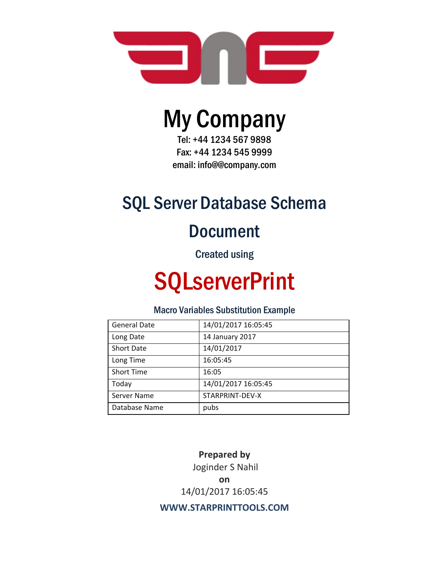

# My Company

Tel: +44 1234 567 9898 Fax: +44 1234 545 9999 email: info@@company.com

# SQL Server Database Schema

# Document

Created using

# **SQLserverPrint**

# Macro Variables Substitution Example

| <b>General Date</b> | 14/01/2017 16:05:45 |
|---------------------|---------------------|
| Long Date           | 14 January 2017     |
| <b>Short Date</b>   | 14/01/2017          |
| Long Time           | 16:05:45            |
| <b>Short Time</b>   | 16:05               |
| Today               | 14/01/2017 16:05:45 |
| Server Name         | STARPRINT-DEV-X     |
| Database Name       | pubs                |

**Prepared by** Joginder S Nahil **on**  14/01/2017 16:05:45

**WWW.STARPRINTTOOLS.COM**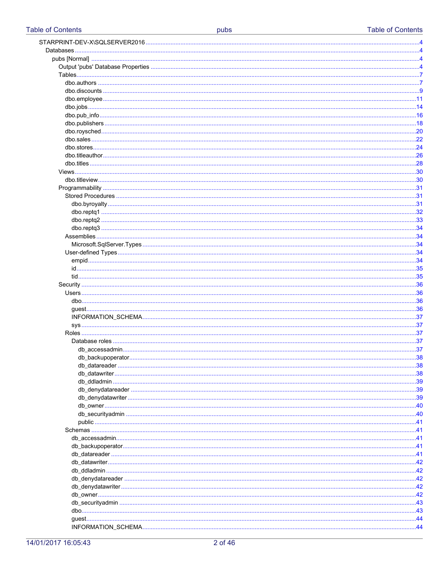| 30 |
|----|
|    |
|    |
|    |
|    |
|    |
|    |
|    |
|    |
|    |
|    |
| 34 |
|    |
|    |
|    |
|    |
|    |
|    |
| 36 |
|    |
|    |
|    |
| 37 |
|    |
|    |
|    |
|    |
|    |
|    |
|    |
|    |
|    |
|    |
|    |
|    |
|    |
|    |
|    |
|    |
|    |
|    |
|    |
|    |
| 43 |
|    |
|    |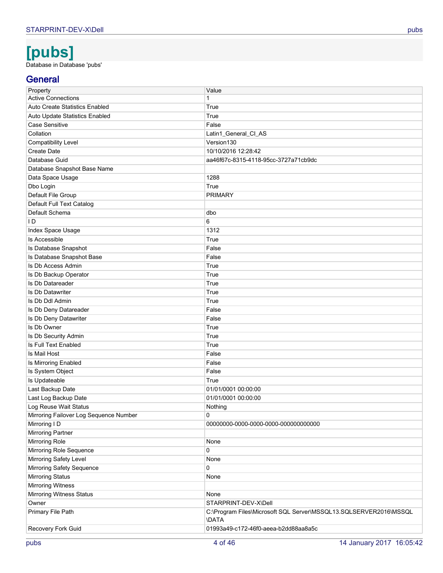# **[pubs]**

<span id="page-3-0"></span>Database in Database 'pubs'

# **General**

| Property                               | Value                                                             |
|----------------------------------------|-------------------------------------------------------------------|
| <b>Active Connections</b>              | 1                                                                 |
| <b>Auto Create Statistics Enabled</b>  | True                                                              |
| Auto Update Statistics Enabled         | True                                                              |
| <b>Case Sensitive</b>                  | False                                                             |
| Collation                              | Latin1_General_Cl_AS                                              |
| <b>Compatibility Level</b>             | Version130                                                        |
| Create Date                            | 10/10/2016 12:28:42                                               |
| Database Guid                          | aa46f67c-8315-4118-95cc-3727a71cb9dc                              |
| Database Snapshot Base Name            |                                                                   |
| Data Space Usage                       | 1288                                                              |
| Dbo Login                              | True                                                              |
| Default File Group                     | <b>PRIMARY</b>                                                    |
| Default Full Text Catalog              |                                                                   |
| Default Schema                         | dbo                                                               |
| I D                                    | 6                                                                 |
| Index Space Usage                      | 1312                                                              |
| Is Accessible                          | True                                                              |
| Is Database Snapshot                   | False                                                             |
| Is Database Snapshot Base              | False                                                             |
| Is Db Access Admin                     | True                                                              |
| Is Db Backup Operator                  | True                                                              |
| Is Db Datareader                       | True                                                              |
| <b>Is Db Datawriter</b>                | True                                                              |
| Is Db Ddl Admin                        | True                                                              |
| Is Db Deny Datareader                  | False                                                             |
| Is Db Deny Datawriter                  | False                                                             |
| Is Db Owner                            | True                                                              |
| Is Db Security Admin                   | True                                                              |
| Is Full Text Enabled                   | True                                                              |
| Is Mail Host                           | False                                                             |
| Is Mirroring Enabled                   | False                                                             |
| Is System Object                       | False                                                             |
| Is Updateable                          | True                                                              |
| Last Backup Date                       | 01/01/0001 00:00:00                                               |
| Last Log Backup Date                   | 01/01/0001 00:00:00                                               |
| Log Reuse Wait Status                  | Nothing                                                           |
| Mirroring Failover Log Sequence Number | 0                                                                 |
| Mirroring I D                          | 00000000-0000-0000-0000-000000000000                              |
| <b>Mirroring Partner</b>               |                                                                   |
| <b>Mirroring Role</b>                  | None                                                              |
| Mirroring Role Sequence                | 0                                                                 |
| Mirroring Safety Level                 | None                                                              |
| Mirroring Safety Sequence              | 0                                                                 |
| <b>Mirroring Status</b>                | None                                                              |
| <b>Mirroring Witness</b>               |                                                                   |
| <b>Mirroring Witness Status</b>        | None                                                              |
| Owner                                  | STARPRINT-DEV-X\Dell                                              |
| Primary File Path                      | C:\Program Files\Microsoft SQL Server\MSSQL13.SQLSERVER2016\MSSQL |
|                                        | <b>\DATA</b>                                                      |
| Recovery Fork Guid                     | 01993a49-c172-46f0-aeea-b2dd88aa8a5c                              |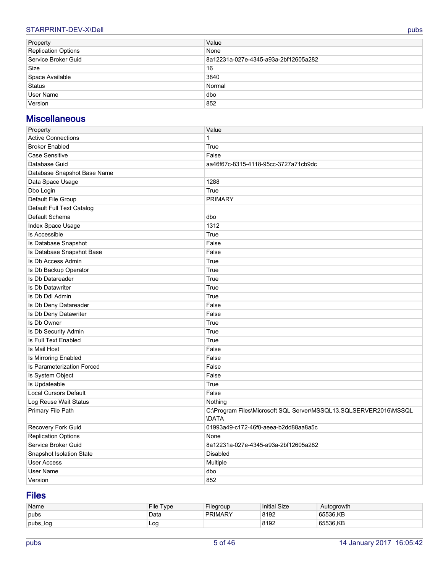## STARPRINT-DEV-X\Dell pubs pubs and contact the contact of the contact of the contact of the contact of the contact of the contact of the contact of the contact of the contact of the contact of the contact of the contact of

| Property                   | Value                                |
|----------------------------|--------------------------------------|
| <b>Replication Options</b> | None                                 |
| Service Broker Guid        | 8a12231a-027e-4345-a93a-2bf12605a282 |
| Size                       | 16                                   |
| Space Available            | 3840                                 |
| <b>Status</b>              | Normal                               |
| User Name                  | dbo                                  |
| Version                    | 852                                  |

# **Miscellaneous**

| Property                     | Value                                                                             |  |  |  |
|------------------------------|-----------------------------------------------------------------------------------|--|--|--|
| <b>Active Connections</b>    | $\mathbf{1}$                                                                      |  |  |  |
| <b>Broker Enabled</b>        | True                                                                              |  |  |  |
| <b>Case Sensitive</b>        | False                                                                             |  |  |  |
| Database Guid                | aa46f67c-8315-4118-95cc-3727a71cb9dc                                              |  |  |  |
| Database Snapshot Base Name  |                                                                                   |  |  |  |
| Data Space Usage             | 1288                                                                              |  |  |  |
| Dbo Login                    | True                                                                              |  |  |  |
| Default File Group           | <b>PRIMARY</b>                                                                    |  |  |  |
| Default Full Text Catalog    |                                                                                   |  |  |  |
| Default Schema               | dbo                                                                               |  |  |  |
| Index Space Usage            | 1312                                                                              |  |  |  |
| Is Accessible                | True                                                                              |  |  |  |
| Is Database Snapshot         | False                                                                             |  |  |  |
| Is Database Snapshot Base    | False                                                                             |  |  |  |
| Is Db Access Admin           | True                                                                              |  |  |  |
| Is Db Backup Operator        | True                                                                              |  |  |  |
| Is Db Datareader             | True                                                                              |  |  |  |
| Is Db Datawriter             | True                                                                              |  |  |  |
| Is Db Ddl Admin              | True                                                                              |  |  |  |
| Is Db Deny Datareader        | False                                                                             |  |  |  |
| Is Db Deny Datawriter        | False                                                                             |  |  |  |
| Is Db Owner                  | True                                                                              |  |  |  |
| Is Db Security Admin         | True                                                                              |  |  |  |
| Is Full Text Enabled         | True                                                                              |  |  |  |
| Is Mail Host                 | False                                                                             |  |  |  |
| Is Mirroring Enabled         | False                                                                             |  |  |  |
| Is Parameterization Forced   | False                                                                             |  |  |  |
| Is System Object             | False                                                                             |  |  |  |
| Is Updateable                | True                                                                              |  |  |  |
| <b>Local Cursors Default</b> | False                                                                             |  |  |  |
| Log Reuse Wait Status        | Nothing                                                                           |  |  |  |
| Primary File Path            | C:\Program Files\Microsoft SQL Server\MSSQL13.SQLSERVER2016\MSSQL<br><b>\DATA</b> |  |  |  |
| Recovery Fork Guid           | 01993a49-c172-46f0-aeea-b2dd88aa8a5c                                              |  |  |  |
| <b>Replication Options</b>   | None                                                                              |  |  |  |
| Service Broker Guid          | 8a12231a-027e-4345-a93a-2bf12605a282                                              |  |  |  |
| Snapshot Isolation State     | <b>Disabled</b>                                                                   |  |  |  |
| <b>User Access</b>           | Multiple                                                                          |  |  |  |
| <b>User Name</b>             | dbo                                                                               |  |  |  |
| Version                      | 852                                                                               |  |  |  |

# **Files**

| Name     | File<br>Tvpe | Filearoup      | <b>Initial Size</b> | Autogrowth |
|----------|--------------|----------------|---------------------|------------|
| pubs     | Data         | <b>PRIMARY</b> | 8192                | 65536.KB   |
| pubs_log | Log          |                | 8192                | 65536.KB   |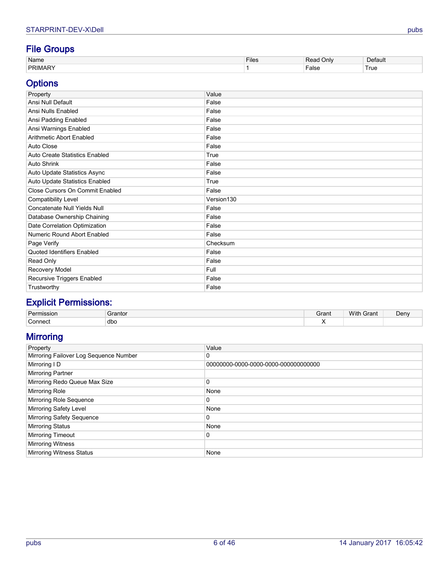# **File Groups**

| Name       | $- \cdot$<br>- 1100<br><b>FIIGS</b> | Jnlv  | ⊇efaul⊾                           |
|------------|-------------------------------------|-------|-----------------------------------|
| <b>DRI</b> |                                     | ⊦alse | $\overline{\phantom{a}}$<br>I rue |

# **Options**

| Property                        | Value      |
|---------------------------------|------------|
| Ansi Null Default               | False      |
| Ansi Nulls Enabled              | False      |
| Ansi Padding Enabled            | False      |
| Ansi Warnings Enabled           | False      |
| Arithmetic Abort Enabled        | False      |
| Auto Close                      | False      |
| Auto Create Statistics Enabled  | True       |
| Auto Shrink                     | False      |
| Auto Update Statistics Async    | False      |
| Auto Update Statistics Enabled  | True       |
| Close Cursors On Commit Enabled | False      |
| <b>Compatibility Level</b>      | Version130 |
| Concatenate Null Yields Null    | False      |
| Database Ownership Chaining     | False      |
| Date Correlation Optimization   | False      |
| Numeric Round Abort Enabled     | False      |
| Page Verify                     | Checksum   |
| Quoted Identifiers Enabled      | False      |
| Read Only                       | False      |
| Recovery Model                  | Full       |
| Recursive Triggers Enabled      | False      |
| Trustworthy                     | False      |

# **Explicit Permissions:**

| Par <sub>l</sub><br>sıor | ∍rantor | Grant | With<br>Grant<br>the contract of the contract of the contract of the contract of the contract of the contract of the contract of | <b>Deny</b> |
|--------------------------|---------|-------|----------------------------------------------------------------------------------------------------------------------------------|-------------|
| '`;onnec.                | dbo     | . .   |                                                                                                                                  |             |

# **Mirroring**

| Property                               | Value                                 |
|----------------------------------------|---------------------------------------|
| Mirroring Failover Log Sequence Number | 0                                     |
| Mirroring I D                          | 00000000-0000-0000-0000-0000000000000 |
| Mirroring Partner                      |                                       |
| Mirroring Redo Queue Max Size          | 0                                     |
| <b>Mirroring Role</b>                  | None                                  |
| Mirroring Role Sequence                | 0                                     |
| <b>Mirroring Safety Level</b>          | None                                  |
| Mirroring Safety Sequence              | 0                                     |
| <b>Mirroring Status</b>                | None                                  |
| <b>Mirroring Timeout</b>               | 0                                     |
| <b>Mirroring Witness</b>               |                                       |
| <b>Mirroring Witness Status</b>        | None                                  |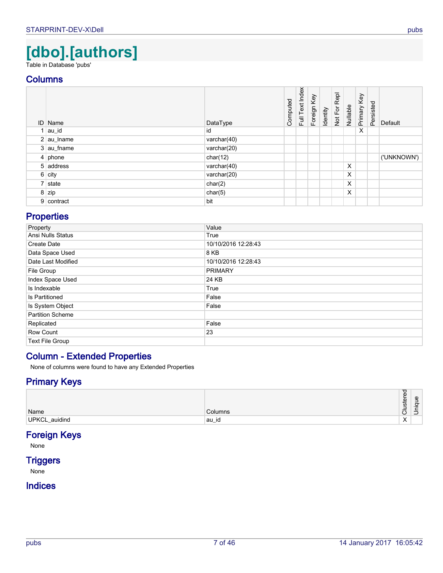# **[dbo].[authors]**

<span id="page-6-0"></span>Table in Database 'pubs'

## **Columns**

<span id="page-6-4"></span><span id="page-6-3"></span><span id="page-6-2"></span>

| <b>ID</b> Name | DataType       | Computed | Full Text Index | Foreign Key | Identity | Not For Repl | Nullable | Primary Key | Persisted | Default     |
|----------------|----------------|----------|-----------------|-------------|----------|--------------|----------|-------------|-----------|-------------|
| au_id          | id             |          |                 |             |          |              |          | X           |           |             |
| $2  au_l$ name | varchar $(40)$ |          |                 |             |          |              |          |             |           |             |
| 3 au_fname     | varchar(20)    |          |                 |             |          |              |          |             |           |             |
| $4$ phone      | char(12)       |          |                 |             |          |              |          |             |           | ('UNKNOWN') |
| 5 address      | varchar $(40)$ |          |                 |             |          |              | X        |             |           |             |
| $6$ city       | varchar $(20)$ |          |                 |             |          |              | X        |             |           |             |
| 7 state        | char(2)        |          |                 |             |          |              | X        |             |           |             |
| 8 zip          | char(5)        |          |                 |             |          |              | X        |             |           |             |
| 9 contract     | bit            |          |                 |             |          |              |          |             |           |             |

# <span id="page-6-10"></span><span id="page-6-8"></span><span id="page-6-7"></span><span id="page-6-6"></span><span id="page-6-5"></span><span id="page-6-1"></span>**Properties**

| Property                | Value               |
|-------------------------|---------------------|
| Ansi Nulls Status       | True                |
| Create Date             | 10/10/2016 12:28:43 |
| Data Space Used         | 8 KB                |
| Date Last Modified      | 10/10/2016 12:28:43 |
| File Group              | <b>PRIMARY</b>      |
| Index Space Used        | 24 KB               |
| Is Indexable            | True                |
| Is Partitioned          | False               |
| Is System Object        | False               |
| <b>Partition Scheme</b> |                     |
| Replicated              | False               |
| Row Count               | 23                  |
| Text File Group         |                     |

# **Column - Extended Properties**

None of columns were found to have any Extended Properties

## **Primary Keys**

| Name          | Columns | . .<br>Φ<br>运<br><b>i</b><br>-<br>-<br>–<br>ັ | യ<br>-<br>ರ<br>$\overline{\phantom{0}}$<br><b>_</b><br>_<br>ر_ |
|---------------|---------|-----------------------------------------------|----------------------------------------------------------------|
| UPKCL_auidind | ⊺au_id  | $\lambda$<br>⌒                                |                                                                |

# <span id="page-6-9"></span>**Foreign Keys**

None

# **Triggers**

None

# **Indices**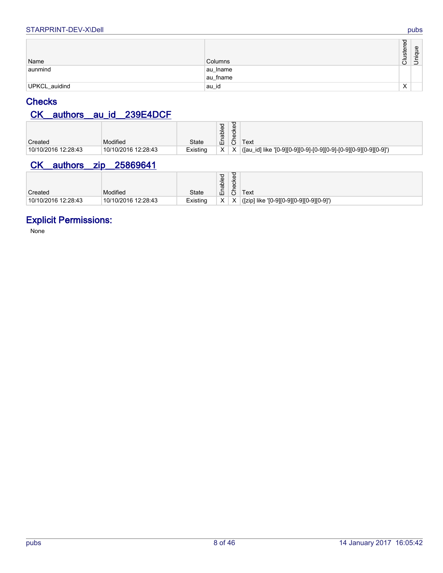#### STARPRINT-DEV-X\Dell pubs

<span id="page-7-0"></span>

| Name          | Columns  | 9.<br>uster<br>$\overline{O}$ | Unique |
|---------------|----------|-------------------------------|--------|
| aunmind       | au_lname |                               |        |
|               | au_fname |                               |        |
| UPKCL_auidind | au_id    | $\checkmark$<br>v             |        |

# <span id="page-7-3"></span>**Checks**

# <span id="page-7-1"></span>**CK\_\_authors\_\_au\_id\_\_239E4DCF**

| Created             | Modified            | <b>State</b> | ರ<br>Φ<br>ā<br>۔ ک<br>Ш | P<br>٧ē<br>မ္မ<br>む | Text |
|---------------------|---------------------|--------------|-------------------------|---------------------|------|
| 10/10/2016 12:28:43 | 10/10/2016 12:28:43 | Existing     | X.                      | X                   |      |
|                     |                     |              |                         |                     |      |

# <span id="page-7-2"></span>**CK\_\_authors\_\_zip\_\_25869641**

| Created             | Modified            | <b>State</b> | ਹ<br>Φ<br>ā<br>屲  | ັ<br>cke<br>Φ<br>Ō | Text                                     |
|---------------------|---------------------|--------------|-------------------|--------------------|------------------------------------------|
| 10/10/2016 12:28:43 | 10/10/2016 12:28:43 | Existing     | $\checkmark$<br>ᄉ |                    | ([zip] like '[0-9][0-9][0-9][0-9][0-9]') |

# **Explicit Permissions:**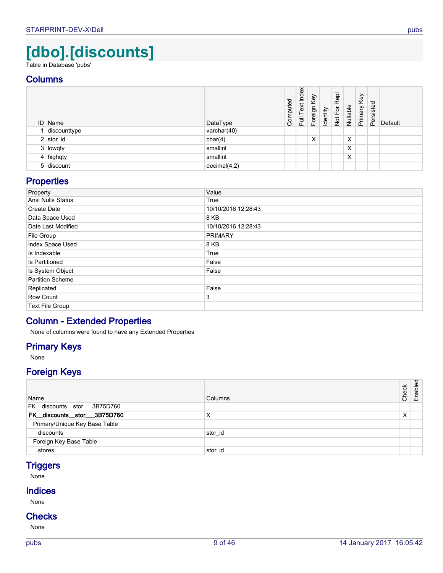# **[dbo].[discounts]**

<span id="page-8-0"></span>Table in Database 'pubs'

## **Columns**

<span id="page-8-2"></span>

| <b>ID</b> Name | DataType     | Computed | Index<br>Text<br>ー<br>ト<br> | Foreign Key | Identity | Repl<br>Not For | Nullable | Key<br>Primary <b>I</b> | Persisted | Default |
|----------------|--------------|----------|-----------------------------|-------------|----------|-----------------|----------|-------------------------|-----------|---------|
| discounttype   | varchar(40)  |          |                             |             |          |                 |          |                         |           |         |
| $2$ stor_id    | char(4)      |          |                             | X           |          |                 | X        |                         |           |         |
| 3 lowqty       | smallint     |          |                             |             |          |                 | X        |                         |           |         |
| $4$ highqty    | smallint     |          |                             |             |          |                 | X        |                         |           |         |
| 5 discount     | decimal(4,2) |          |                             |             |          |                 |          |                         |           |         |

# <span id="page-8-6"></span><span id="page-8-5"></span><span id="page-8-4"></span><span id="page-8-1"></span>**Properties**

| Property                | Value               |
|-------------------------|---------------------|
| Ansi Nulls Status       | True                |
| Create Date             | 10/10/2016 12:28:43 |
| Data Space Used         | 8 KB                |
| Date Last Modified      | 10/10/2016 12:28:43 |
| File Group              | <b>PRIMARY</b>      |
| Index Space Used        | 8 KB                |
| Is Indexable            | True                |
| Is Partitioned          | False               |
| Is System Object        | False               |
| <b>Partition Scheme</b> |                     |
| Replicated              | False               |
| Row Count               | 3                   |
| <b>Text File Group</b>  |                     |

# **Column - Extended Properties**

None of columns were found to have any Extended Properties

## **Primary Keys**

None

# **Foreign Keys**

<span id="page-8-3"></span>

| Name                          | <b>Columns</b> | Check | Enabled |
|-------------------------------|----------------|-------|---------|
| FK discounts stor 3B75D760    |                |       |         |
| FK_discounts_stor__3B75D760   | X              | X     |         |
| Primary/Unique Key Base Table |                |       |         |
| discounts                     | stor id        |       |         |
| Foreign Key Base Table        |                |       |         |
| stores                        | stor id        |       |         |

# <span id="page-8-7"></span>**Triggers**

None

### **Indices**

None

# **Checks**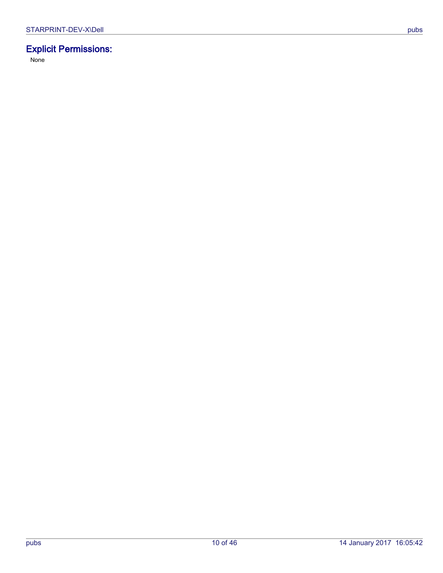# **Explicit Permissions:**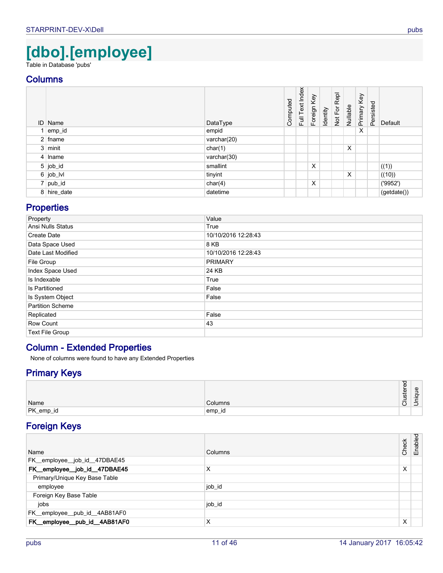# **[dbo].[employee]**

<span id="page-10-0"></span>Table in Database 'pubs'

## **Columns**

<span id="page-10-10"></span><span id="page-10-4"></span><span id="page-10-1"></span>

|   | <b>ID</b> Name | DataType       | Computed | Full Text Index | Foreign Key | Identity | Not For Repl | Nullable | Primary Key | Persisted | Default    |
|---|----------------|----------------|----------|-----------------|-------------|----------|--------------|----------|-------------|-----------|------------|
| 1 | emp_id         | empid          |          |                 |             |          |              |          | X           |           |            |
|   | $2$ fname      | varchar $(20)$ |          |                 |             |          |              |          |             |           |            |
|   | $3$ minit      | char(1)        |          |                 |             |          |              | X        |             |           |            |
|   | 4 Iname        | varchar(30)    |          |                 |             |          |              |          |             |           |            |
|   | $5$ job_id     | smallint       |          |                 | X           |          |              |          |             |           | ((1))      |
|   | $6$ job_lvl    | tinyint        |          |                 |             |          |              | X        |             |           | ((10))     |
|   | 7 pub_id       | char(4)        |          |                 | X           |          |              |          |             |           | (9952)     |
|   | 8 hire_date    | datetime       |          |                 |             |          |              |          |             |           | (getdate() |

# <span id="page-10-12"></span><span id="page-10-9"></span><span id="page-10-7"></span><span id="page-10-6"></span><span id="page-10-5"></span>**Properties**

| Property                | Value               |
|-------------------------|---------------------|
| Ansi Nulls Status       | True                |
| Create Date             | 10/10/2016 12:28:43 |
| Data Space Used         | 8 KB                |
| Date Last Modified      | 10/10/2016 12:28:43 |
| File Group              | <b>PRIMARY</b>      |
| Index Space Used        | 24 KB               |
| Is Indexable            | True                |
| Is Partitioned          | False               |
| Is System Object        | False               |
| <b>Partition Scheme</b> |                     |
| Replicated              | False               |
| Row Count               | 43                  |
| <b>Text File Group</b>  |                     |

# **Column - Extended Properties**

None of columns were found to have any Extended Properties

# **Primary Keys**

|           |         | ⇁<br>ີ<br>Φ<br>ত<br>∸<br><b>SC</b><br>- | $\mathbf \omega$<br>-<br>ਰ |
|-----------|---------|-----------------------------------------|----------------------------|
| Name      | Columns | -                                       | _<br>–                     |
| PK_emp_id | ∖emp_id |                                         |                            |

# <span id="page-10-11"></span>**Foreign Keys**

<span id="page-10-8"></span><span id="page-10-3"></span><span id="page-10-2"></span>

| Name                          | Columns | Check | Enabled |
|-------------------------------|---------|-------|---------|
| FK_employee_job_id_47DBAE45   |         |       |         |
| FK_employee_job_id_47DBAE45   | X       | X     |         |
| Primary/Unique Key Base Table |         |       |         |
| employee                      | job_id  |       |         |
| Foreign Key Base Table        |         |       |         |
| jobs                          | job_id  |       |         |
| FK_employee_pub_id_4AB81AF0   |         |       |         |
| FK_employee_pub_id_4AB81AF0   | X       | X     |         |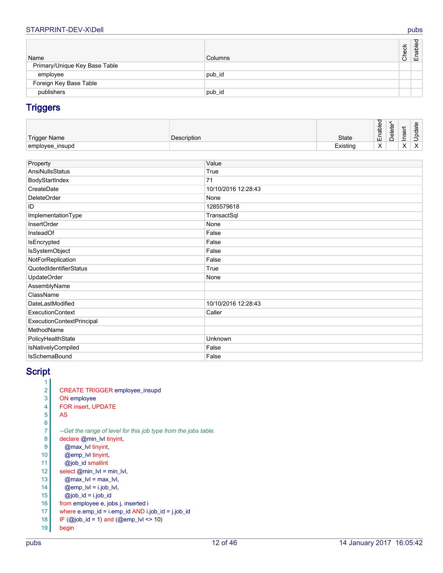## STARPRINT-DEV-X\Dell pubs pubs and contact the contact of the contact of the contact of the contact of the contact of the contact of the contact of the contact of the contact of the contact of the contact of the contact of

| Name                          | Columns | Check | Enabled |
|-------------------------------|---------|-------|---------|
| Primary/Unique Key Base Table |         |       |         |
| employee                      | pub_id  |       |         |
| Foreign Key Base Table        |         |       |         |
| publishers                    | pub_id  |       |         |

# <span id="page-11-2"></span><span id="page-11-0"></span>**Triggers**

| <b>Trigger Name</b> | Description | <b>State</b> | ಾ<br>able<br>-<br>∼<br>ш              | Φ<br>ىپ<br>$rac{\overline{a}}{\overline{b}}$ | ∽<br>Φ<br>ā<br>∸<br>$-$ | $\omega$<br>ىپ<br>$\sigma$<br>᠊ᠸ<br>ᅭ<br>–<br>- |
|---------------------|-------------|--------------|---------------------------------------|----------------------------------------------|-------------------------|-------------------------------------------------|
| employee_insupd     |             | Existing     | $\lambda$<br>$\overline{\phantom{a}}$ |                                              | $\lambda$<br>⌒          | $\lambda$<br>$\lambda$                          |

<span id="page-11-1"></span>

| Property                  | Value               |
|---------------------------|---------------------|
| AnsiNullsStatus           | True                |
| BodyStartIndex            | 71                  |
| CreateDate                | 10/10/2016 12:28:43 |
| <b>DeleteOrder</b>        | None                |
| ID                        | 1285579618          |
| ImplementationType        | TransactSql         |
| <b>InsertOrder</b>        | None                |
| InsteadOf                 | False               |
| IsEncrypted               | False               |
| <b>IsSystemObject</b>     | False               |
| NotForReplication         | False               |
| QuotedIdentifierStatus    | True                |
| <b>UpdateOrder</b>        | None                |
| AssemblyName              |                     |
| ClassName                 |                     |
| DateLastModified          | 10/10/2016 12:28:43 |
| ExecutionContext          | Caller              |
| ExecutionContextPrincipal |                     |
| MethodName                |                     |
| PolicyHealthState         | Unknown             |
| IsNativelyCompiled        | False               |
| <b>IsSchemaBound</b>      | False               |

# **Script**

| 1              |                                                                 |
|----------------|-----------------------------------------------------------------|
| 2              | <b>CREATE TRIGGER employee_insupd</b>                           |
| 3              | ON employee                                                     |
| 4              | <b>FOR insert, UPDATE</b>                                       |
| 5              | AS                                                              |
| 6              |                                                                 |
| $\overline{7}$ | --Get the range of level for this job type from the jobs table. |
| 8              | declare @min_lvl tinyint,                                       |
| 9              | @max_lvl tinyint,                                               |
| 10             | @emp_lyl tinyint,                                               |
| 11             | @job id smallint                                                |
| 12             | select $@min_l v = min_l v$ ,                                   |
| 13             | $@max$ $ v  = max$ $ v $ ,                                      |
| 14             | $@emp$ lvl = i.job lvl,                                         |
| 15             | $@job$ id = i.job id                                            |
| 16             | from employee e, jobs j, inserted i                             |
| 17             | where e.emp_id = i.emp_id AND i.job_id = j.job_id               |
| 18             | $IF$ (@job_id = 1) and (@emp_lvl <> 10)                         |
| 19             | begin                                                           |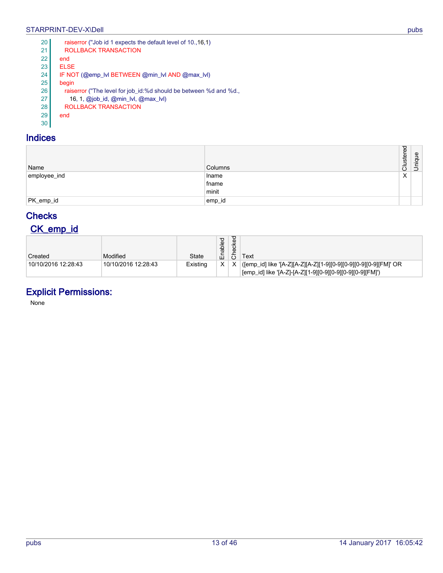## STARPRINT-DEV-X\Dell pubs pubs and contact the contact of the contact of the contact of the contact of the contact of the contact of the contact of the contact of the contact of the contact of the contact of the contact of

| 20 | raiserror ("Job id 1 expects the default level of 10., 16, 1)     |
|----|-------------------------------------------------------------------|
| 21 | ROLLBACK TRANSACTION                                              |
| 22 | end                                                               |
| 23 | <b>ELSE</b>                                                       |
| 24 | IF NOT (@emp IvI BETWEEN @min IvI AND @max IvI)                   |
| 25 | begin                                                             |
| 26 | raiserror ("The level for job_id:%d should be between %d and %d., |
| 27 | 16, 1, @job_id, @min_lvl, @max_lvl)                               |
| 28 | <b>ROLLBACK TRANSACTION</b>                                       |
| 29 | end                                                               |
| 30 |                                                                   |

# **Indices**

<span id="page-12-1"></span>

| Name         | Columns | Clustered | Unique |
|--------------|---------|-----------|--------|
| employee_ind | Iname   | X         |        |
|              | fname   |           |        |
|              | minit   |           |        |
| PK_emp_id    | emp_id  |           |        |
|              |         |           |        |

# <span id="page-12-2"></span>**Checks**

# <span id="page-12-0"></span>**CK\_emp\_id**

| Created             | Modified            | State    | ਹ<br>Φ<br>Ā<br>面 | ▿<br>ecke<br>$\circ$ | Text                                                                                                                           |
|---------------------|---------------------|----------|------------------|----------------------|--------------------------------------------------------------------------------------------------------------------------------|
| 10/10/2016 12:28:43 | 10/10/2016 12:28:43 | Existing | X                |                      | ([emp_id] like '[A-Z][A-Z][A-Z][1-9][0-9][0-9][0-9][0-9][FM]' OR<br> [emp_id] like '[A-Z]-[A-Z][1-9][0-9][0-9][0-9][0-9][FM]') |

# **Explicit Permissions:**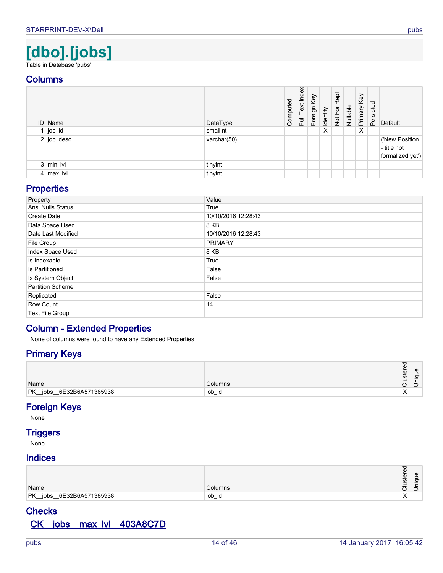# **[dbo].[jobs]**

<span id="page-13-0"></span>Table in Database 'pubs'

## **Columns**

<span id="page-13-3"></span>

| <b>ID</b> Name    | DataType    | Computed | Index<br>Full Text | Foreign Key | Identity | Repl<br>Not For I | Nullable | Key<br>Primary <b>I</b> | Persisted | Default                                           |
|-------------------|-------------|----------|--------------------|-------------|----------|-------------------|----------|-------------------------|-----------|---------------------------------------------------|
| $1$ job_id        | smallint    |          |                    |             | X        |                   |          | Χ                       |           |                                                   |
| 2 job_desc        | varchar(50) |          |                    |             |          |                   |          |                         |           | ('New Position<br>- title not<br>formalized yet') |
| $3 \mid min_l$  v | tinyint     |          |                    |             |          |                   |          |                         |           |                                                   |
| $4 \mid max_l$    | tinyint     |          |                    |             |          |                   |          |                         |           |                                                   |

# <span id="page-13-5"></span><span id="page-13-4"></span><span id="page-13-2"></span>**Properties**

| Property                | Value               |
|-------------------------|---------------------|
| Ansi Nulls Status       | True                |
| Create Date             | 10/10/2016 12:28:43 |
| Data Space Used         | 8 KB                |
| Date Last Modified      | 10/10/2016 12:28:43 |
| File Group              | <b>PRIMARY</b>      |
| Index Space Used        | 8 KB                |
| Is Indexable            | True                |
| Is Partitioned          | False               |
| Is System Object        | False               |
| <b>Partition Scheme</b> |                     |
| Replicated              | False               |
| Row Count               | 14                  |
| <b>Text File Group</b>  |                     |

# **Column - Extended Properties**

None of columns were found to have any Extended Properties

# **Primary Keys**

| Name                                      | Columns     | ਹ<br>Φ<br>ত<br>≖<br><b>CO</b><br>-<br>-<br>–<br>. .<br>◡ | Φ<br>-<br>-<br>ᡉ<br>$\overline{\phantom{0}}$<br>$\overline{\phantom{0}}$<br>∸ |
|-------------------------------------------|-------------|----------------------------------------------------------|-------------------------------------------------------------------------------|
| PK<br>6E32B6A571385938<br>jobs<br>$- - -$ | job<br>⊹_iu | $\sqrt{}$<br>⌒                                           |                                                                               |

## <span id="page-13-6"></span>**Foreign Keys**

None

# **Triggers**

None

### **Indices**

| Name                              | <b>Columns</b> | $\overline{\phantom{1}}$<br>ີ<br>Φ<br>ত<br><b>in</b><br>-<br>-<br>$\overline{\phantom{0}}$<br>ー | Φ<br>$\sigma$<br>$\overline{\phantom{0}}$<br>–<br>– |
|-----------------------------------|----------------|-------------------------------------------------------------------------------------------------|-----------------------------------------------------|
| PK_jobs<br>6E32B6A571385938<br>__ | job<br>∠id     | $\sqrt{}$<br>⌒                                                                                  |                                                     |

# <span id="page-13-1"></span>**Checks CK\_\_jobs\_\_max\_lvl\_\_403A8C7D**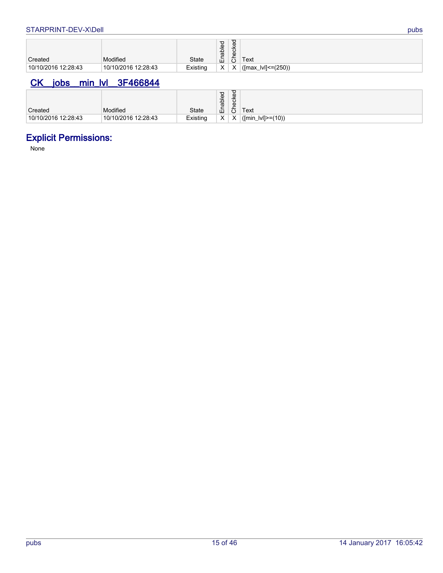| Created             | Modified            | <b>State</b> | $\overline{e}$<br>နူ<br>- 200<br>ш | ਹ<br>cke<br>Φ<br>ᅩ | Text                          |
|---------------------|---------------------|--------------|------------------------------------|--------------------|-------------------------------|
| 10/10/2016 12:28:43 | 10/10/2016 12:28:43 | Existing     | X                                  | X                  | $\lvert$ ([max_lvl] <= (250)) |

# <span id="page-14-0"></span>**CK\_\_jobs\_\_min\_lvl\_\_3F466844**

| Created             | Modified            | <b>State</b> | habled<br>۔ س<br>ш | ರ<br>ecke<br>ᅩ<br>ပ | Text             |
|---------------------|---------------------|--------------|--------------------|---------------------|------------------|
| 10/10/2016 12:28:43 | 10/10/2016 12:28:43 | Existing     | X                  | X                   | (min_lvl]>=(10)) |

# **Explicit Permissions:**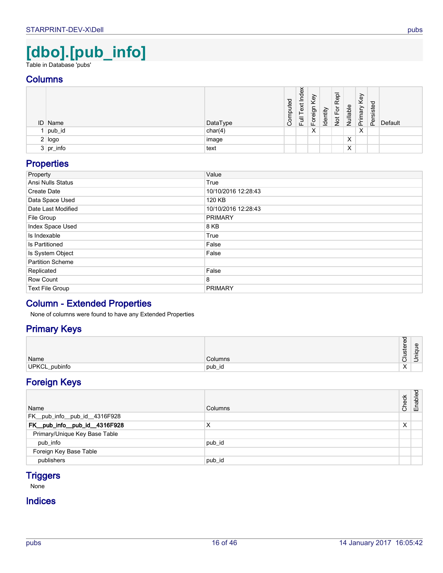# **[dbo].[pub\_info]**

<span id="page-15-0"></span>Table in Database 'pubs'

## **Columns**

| <b>ID</b> Name | DataType | Computed | Index<br>Text<br>同<br>Lu | Key<br>Foreign | Identity | 용<br>œ<br>৯<br>ட<br>$\frac{5}{2}$ | Nullable | Key<br>Primary | Persisted | Default |
|----------------|----------|----------|--------------------------|----------------|----------|-----------------------------------|----------|----------------|-----------|---------|
| pub_id         | char(4)  |          |                          | X              |          |                                   |          | X              |           |         |
| 2   logo       | image    |          |                          |                |          |                                   | X        |                |           |         |
| $3$ pr_info    | text     |          |                          |                |          |                                   | X        |                |           |         |

# <span id="page-15-4"></span><span id="page-15-3"></span><span id="page-15-2"></span>**Properties**

| Property                | Value               |
|-------------------------|---------------------|
| Ansi Nulls Status       | True                |
| Create Date             | 10/10/2016 12:28:43 |
| Data Space Used         | 120 KB              |
| Date Last Modified      | 10/10/2016 12:28:43 |
| File Group              | <b>PRIMARY</b>      |
| Index Space Used        | 8 KB                |
| Is Indexable            | True                |
| Is Partitioned          | False               |
| Is System Object        | False               |
| <b>Partition Scheme</b> |                     |
| Replicated              | False               |
| Row Count               | 8                   |
| Text File Group         | <b>PRIMARY</b>      |

# **Column - Extended Properties**

None of columns were found to have any Extended Properties

# **Primary Keys**

| Name          | Columns | -<br>ত<br><b>SC</b><br>-<br>∼ | Φ<br>- |
|---------------|---------|-------------------------------|--------|
| UPKCL_pubinfo | ⊺pub_id | $\lambda$                     |        |

# <span id="page-15-6"></span>**Foreign Keys**

<span id="page-15-1"></span>

| Name                          | Columns | Check | Enabled |
|-------------------------------|---------|-------|---------|
| FK_pub_info_pub_id_4316F928   |         |       |         |
| FK_pub_info_pub_id_4316F928   | X       | X     |         |
| Primary/Unique Key Base Table |         |       |         |
| pub_info                      | pub_id  |       |         |
| Foreign Key Base Table        |         |       |         |
| publishers                    | pub_id  |       |         |

# <span id="page-15-5"></span>**Triggers**

None

# **Indices**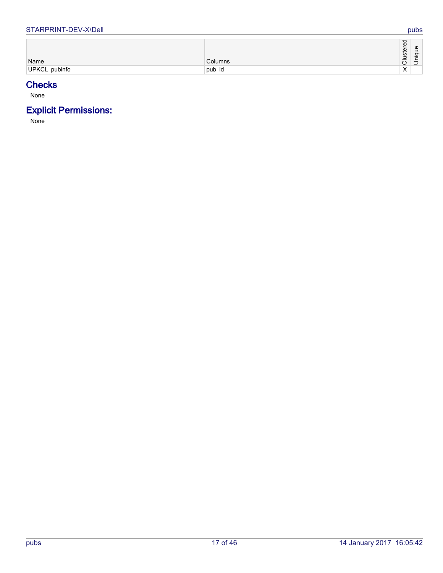#### STARPRINT-DEV-X\Dell pubs

|               |         | Φ<br>្រុ<br><b>i</b><br>-     | $\mathbf \Phi$<br>$\overline{\phantom{0}}$ |
|---------------|---------|-------------------------------|--------------------------------------------|
| Name          | Columns | $\overline{\phantom{0}}$<br>◡ | _<br>$\overline{\phantom{0}}$              |
| UPKCL_pubinfo | pub_id  | $\cdot$<br>$\lambda$          |                                            |

# <span id="page-16-0"></span>**Checks**

None

# **Explicit Permissions:**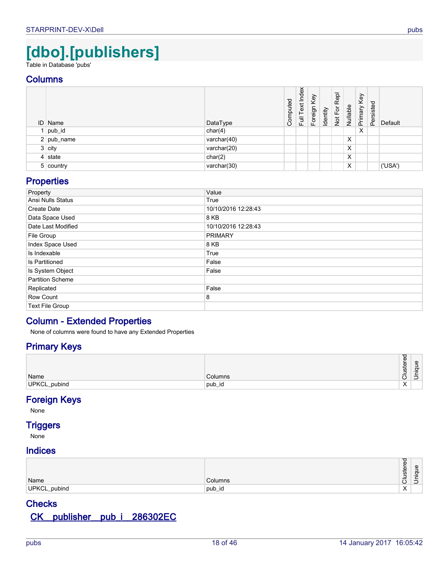# **[dbo].[publishers]**

<span id="page-17-0"></span>Table in Database 'pubs'

## **Columns**

<span id="page-17-4"></span>

| ID Name      | DataType    | Computed | Index<br>Text<br>ー<br>ト<br> | Foreign Key | Identity | Repl<br>Not For | Nullable | Key<br>Primary <b>I</b> | Persisted | Default |
|--------------|-------------|----------|-----------------------------|-------------|----------|-----------------|----------|-------------------------|-----------|---------|
| 1   pub_id   | char(4)     |          |                             |             |          |                 |          | X                       |           |         |
| $2$ pub_name | varchar(40) |          |                             |             |          |                 | X        |                         |           |         |
| $3$ city     | varchar(20) |          |                             |             |          |                 | X        |                         |           |         |
| $4$ state    | char(2)     |          |                             |             |          |                 | X        |                         |           |         |
| 5 country    | varchar(30) |          |                             |             |          |                 | X        |                         |           | ('USA') |

# <span id="page-17-6"></span><span id="page-17-5"></span><span id="page-17-3"></span><span id="page-17-1"></span>**Properties**

| Property                | Value               |
|-------------------------|---------------------|
| Ansi Nulls Status       | True                |
| Create Date             | 10/10/2016 12:28:43 |
| Data Space Used         | 8 KB                |
| Date Last Modified      | 10/10/2016 12:28:43 |
| File Group              | <b>PRIMARY</b>      |
| Index Space Used        | 8 KB                |
| Is Indexable            | True                |
| Is Partitioned          | False               |
| Is System Object        | False               |
| <b>Partition Scheme</b> |                     |
| Replicated              | False               |
| Row Count               | 8                   |
| Text File Group         |                     |

# **Column - Extended Properties**

None of columns were found to have any Extended Properties

# **Primary Keys**

| Name         | Columns | $\overline{\sigma}$<br>Φ<br>ster<br>-<br>–<br>$\check{ }$ | Φ<br>-<br>-<br>ᠥ<br>-<br>∸<br>–<br><u>.</u> |
|--------------|---------|-----------------------------------------------------------|---------------------------------------------|
| UPKCL_pubind | pub_id  | $\mathbf{v}$<br>⌒                                         |                                             |

# <span id="page-17-7"></span>**Foreign Keys**

None

# **Triggers**

None

# **Indices**

| Name         | Columns | Φ<br>∸<br>$\mathbf{\omega}$<br>ىپ<br><b>in</b><br>◡ | Φ<br>- |
|--------------|---------|-----------------------------------------------------|--------|
| UPKCL_pubind | ⊺pub_id | $\lambda$<br>$\sim$                                 |        |

# **Checks**

# <span id="page-17-2"></span>**CK\_\_publisher\_\_pub\_i\_\_286302EC**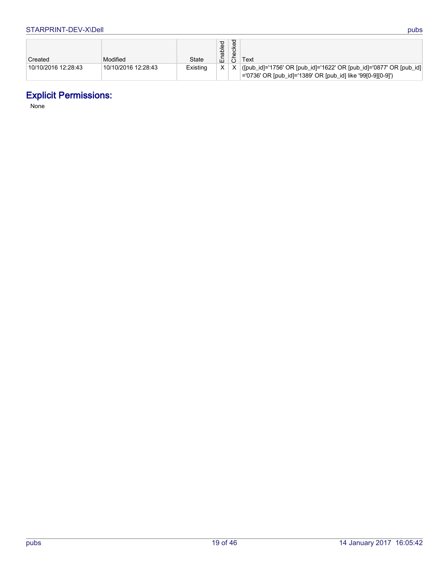| Created             | Modified            | <b>State</b> | abled<br>۵Ë. | ᢦ<br>ecke<br>ᅩ | Text                                                                                                                                 |
|---------------------|---------------------|--------------|--------------|----------------|--------------------------------------------------------------------------------------------------------------------------------------|
| 10/10/2016 12:28:43 | 10/10/2016 12:28:43 | Existing     |              |                | ([pub_id]='1756' OR [pub_id]='1622' OR [pub_id]='0877' OR [pub_id]  <br> ='0736' OR [pub_id]='1389' OR [pub_id] like '99[0-9][0-9]') |

# **Explicit Permissions:**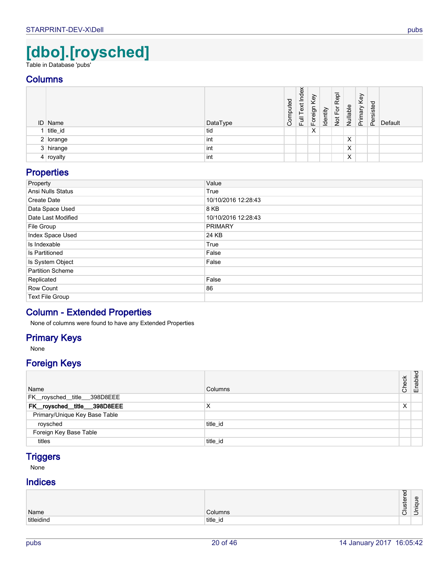# **[dbo].[roysched]**

<span id="page-19-0"></span>Table in Database 'pubs'

## **Columns**

<span id="page-19-5"></span>

| ID Name     | DataType | uted<br>Comp | Index<br>Text<br>$\overline{\Xi}$ | Key<br>Foreign I | Identity | Repl<br>E<br>$\frac{1}{2}$ | Nullable | Key<br>Primary | Persisted | Default |
|-------------|----------|--------------|-----------------------------------|------------------|----------|----------------------------|----------|----------------|-----------|---------|
| title_id    | tid      |              |                                   | X                |          |                            |          |                |           |         |
| $2$ lorange | int      |              |                                   |                  |          |                            | X        |                |           |         |
| 3 hirange   | int      |              |                                   |                  |          |                            | X        |                |           |         |
| 4 royalty   | int      |              |                                   |                  |          |                            | Χ        |                |           |         |

# <span id="page-19-4"></span><span id="page-19-3"></span><span id="page-19-2"></span>**Properties**

| Property                | Value               |
|-------------------------|---------------------|
| Ansi Nulls Status       | True                |
| Create Date             | 10/10/2016 12:28:43 |
| Data Space Used         | 8 KB                |
| Date Last Modified      | 10/10/2016 12:28:43 |
| File Group              | <b>PRIMARY</b>      |
| Index Space Used        | 24 KB               |
| Is Indexable            | True                |
| Is Partitioned          | False               |
| Is System Object        | False               |
| <b>Partition Scheme</b> |                     |
| Replicated              | False               |
| Row Count               | 86                  |
| <b>Text File Group</b>  |                     |

## **Column - Extended Properties**

None of columns were found to have any Extended Properties

# **Primary Keys**

None

# **Foreign Keys**

<span id="page-19-1"></span>

| Name                          | Columns  | Check | Enabled |
|-------------------------------|----------|-------|---------|
| FK_roysched_title__398D8EEE   |          |       |         |
| FK_roysched_title__398D8EEE   | X        | X     |         |
| Primary/Unique Key Base Table |          |       |         |
| roysched                      | title id |       |         |
| Foreign Key Base Table        |          |       |         |
| titles                        | title id |       |         |

# <span id="page-19-7"></span>**Triggers**

None

# **Indices**

<span id="page-19-6"></span>

| Name         | $\sim$ $\sim$ $\sim$<br>ımns | Φ<br>ত<br>ىپ<br><b>i</b><br>-<br>$\overline{\phantom{0}}$ | യ<br>$\overline{\phantom{a}}$<br>$-$ |
|--------------|------------------------------|-----------------------------------------------------------|--------------------------------------|
|              |                              | $\check{ }$                                               | $\overline{\phantom{0}}$             |
| hitlaidino ا | title_id                     |                                                           |                                      |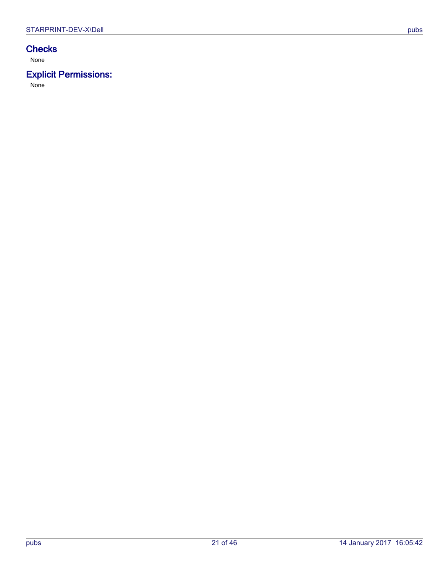# **Checks**

None

# **Explicit Permissions:**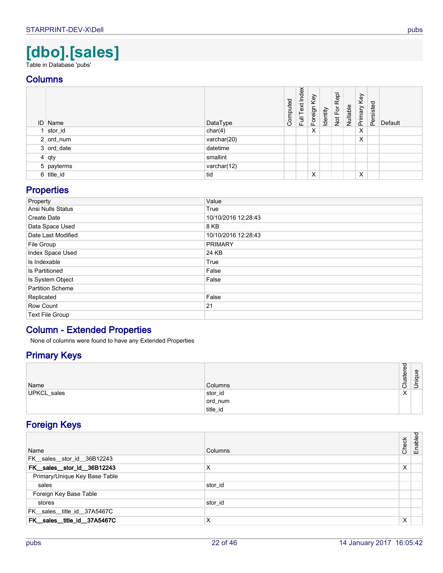# **[dbo].[sales]**

<span id="page-21-0"></span>Table in Database 'pubs'

## **Columns**

<span id="page-21-7"></span><span id="page-21-4"></span>

| <b>ID</b> Name | DataType    | Computed | Index<br>Text<br>$F^{\text{eff}}$ | Foreign Key | Identity | Not For Repl | Nullable | Primary Key | Persisted | Default |
|----------------|-------------|----------|-----------------------------------|-------------|----------|--------------|----------|-------------|-----------|---------|
| stor_id        | char(4)     |          |                                   | X           |          |              |          | X           |           |         |
| $2$ ord_num    | varchar(20) |          |                                   |             |          |              |          | X           |           |         |
| 3 ord_date     | datetime    |          |                                   |             |          |              |          |             |           |         |
| $4 $ qty       | smallint    |          |                                   |             |          |              |          |             |           |         |
| 5   payterms   | varchar(12) |          |                                   |             |          |              |          |             |           |         |
| $6$ title_id   | tid         |          |                                   | X           |          |              |          | X           |           |         |

# <span id="page-21-9"></span><span id="page-21-6"></span><span id="page-21-5"></span><span id="page-21-3"></span>**Properties**

| Property                | Value               |
|-------------------------|---------------------|
| Ansi Nulls Status       | True                |
| Create Date             | 10/10/2016 12:28:43 |
| Data Space Used         | 8 KB                |
| Date Last Modified      | 10/10/2016 12:28:43 |
| File Group              | <b>PRIMARY</b>      |
| Index Space Used        | 24 KB               |
| Is Indexable            | True                |
| Is Partitioned          | False               |
| Is System Object        | False               |
| <b>Partition Scheme</b> |                     |
| Replicated              | False               |
| Row Count               | 21                  |
| <b>Text File Group</b>  |                     |

# **Column - Extended Properties**

None of columns were found to have any Extended Properties

# **Primary Keys**

<span id="page-21-10"></span>

| Name        | Columns  | <b>ustered</b><br>$\overline{\phantom{0}}$<br>–<br>ပ | hique<br>ミ |
|-------------|----------|------------------------------------------------------|------------|
| UPKCL_sales | stor_id  | $\checkmark$<br>ㅅ                                    |            |
|             | ord_num  |                                                      |            |
|             | title_id |                                                      |            |

# **Foreign Keys**

<span id="page-21-8"></span><span id="page-21-2"></span><span id="page-21-1"></span>

| Name                          | Columns | Check | Enabled |
|-------------------------------|---------|-------|---------|
| FK_sales_stor_id_36B12243     |         |       |         |
| FK_sales_stor_id_36B12243     | X       | X     |         |
| Primary/Unique Key Base Table |         |       |         |
| sales                         | stor_id |       |         |
| Foreign Key Base Table        |         |       |         |
| stores                        | stor_id |       |         |
| FK sales title id 37A5467C    |         |       |         |
| FK_sales_title_id_37A5467C    | X       | X     |         |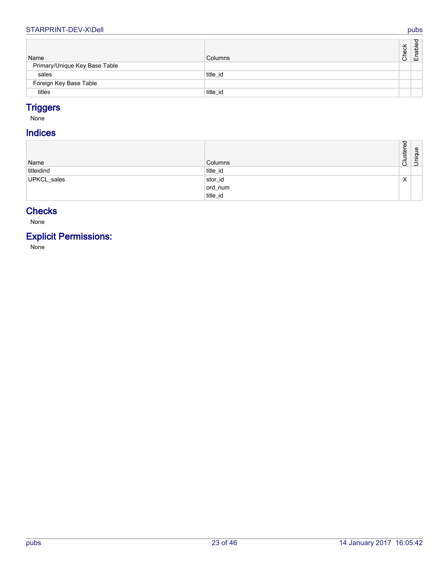#### STARPRINT-DEV-X\Dell pubs

| Name                          | Columns  | Check | ਹ<br>Enable |
|-------------------------------|----------|-------|-------------|
| Primary/Unique Key Base Table |          |       |             |
| sales                         | title id |       |             |
| Foreign Key Base Table        |          |       |             |
| titles                        | title_id |       |             |

# <span id="page-22-2"></span><span id="page-22-0"></span>**Triggers**

None

# **Indices**

<span id="page-22-1"></span>

| Name        | Columns  | <b>ustered</b><br>–<br>$\overline{\circ}$ | Unique |
|-------------|----------|-------------------------------------------|--------|
| titleidind  | title_id |                                           |        |
| UPKCL_sales | stor_id  | X                                         |        |
|             | ord_num  |                                           |        |
|             | title_id |                                           |        |

# <span id="page-22-3"></span>**Checks**

None

# **Explicit Permissions:**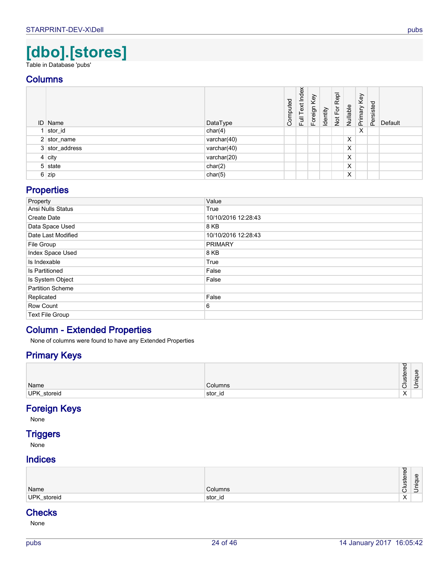# **[dbo].[stores]**

<span id="page-23-0"></span>Table in Database 'pubs'

## **Columns**

<span id="page-23-5"></span><span id="page-23-4"></span>

|                | <b>ID</b> Name | DataType    | Computed | Index<br>Full Text | Foreign Key | Identity | Repl<br>Not For I | Nullable | Primary Key | Persisted | Default |
|----------------|----------------|-------------|----------|--------------------|-------------|----------|-------------------|----------|-------------|-----------|---------|
|                | $1$ stor_id    | char(4)     |          |                    |             |          |                   |          | $\times$    |           |         |
|                | $2$ stor_name  | varchar(40) |          |                    |             |          |                   | X        |             |           |         |
|                | 3 stor_address | varchar(40) |          |                    |             |          |                   | X        |             |           |         |
|                | $4$ city       | varchar(20) |          |                    |             |          |                   | х        |             |           |         |
|                | 5 state        | char(2)     |          |                    |             |          |                   | х        |             |           |         |
| 6 <sup>1</sup> | zip            | char(5)     |          |                    |             |          |                   | х        |             |           |         |

## <span id="page-23-7"></span><span id="page-23-3"></span><span id="page-23-2"></span><span id="page-23-1"></span>**Properties**

| Property                 | Value               |
|--------------------------|---------------------|
| <b>Ansi Nulls Status</b> | True                |
| Create Date              | 10/10/2016 12:28:43 |
| Data Space Used          | 8 KB                |
| Date Last Modified       | 10/10/2016 12:28:43 |
| File Group               | <b>PRIMARY</b>      |
| Index Space Used         | 8 KB                |
| Is Indexable             | True                |
| Is Partitioned           | False               |
| Is System Object         | False               |
| <b>Partition Scheme</b>  |                     |
| Replicated               | False               |
| Row Count                | 6                   |
| <b>Text File Group</b>   |                     |

# **Column - Extended Properties**

None of columns were found to have any Extended Properties

# **Primary Keys**

| Name        | Columns | -<br>Φ<br>∸<br>$\omega$<br>⊷<br><b>in</b><br>-<br>$\check{ }$ | Φ<br>-<br>-<br>ᡉ<br>$\overline{\phantom{0}}$<br>∸<br>–<br>. .<br>ٮ |
|-------------|---------|---------------------------------------------------------------|--------------------------------------------------------------------|
| UPK_storeid | stor_id | $\ddot{\phantom{1}}$<br>$\lambda$                             |                                                                    |

# <span id="page-23-6"></span>**Foreign Keys**

None

# **Triggers**

None

### **Indices**

| Name                           | umns                 | --<br>Φ<br>ত<br>ت<br>ဖ<br>-<br>-<br>– | മ<br>ਨ<br>$\overline{\phantom{0}}$<br>– |
|--------------------------------|----------------------|---------------------------------------|-----------------------------------------|
|                                |                      | $\check{ }$                           | –                                       |
| storeid<br><b>UPK</b><br>. ._- | stor<br>- I U<br>. — | $\ddot{\phantom{1}}$<br>$\lambda$     |                                         |

# **Checks**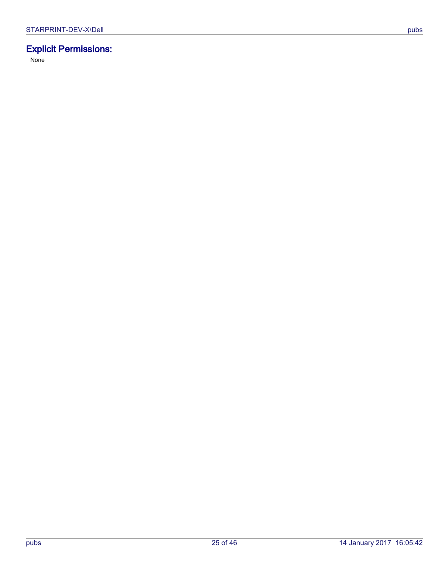# **Explicit Permissions:**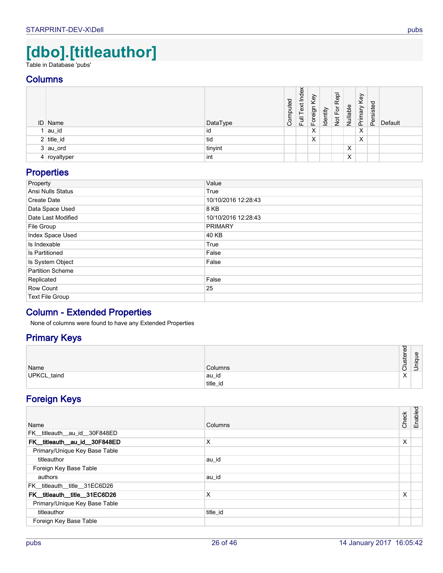# **[dbo].[titleauthor]**

<span id="page-25-0"></span>Table in Database 'pubs'

## **Columns**

<span id="page-25-1"></span>

| <b>ID</b> Name | DataType | omputed<br>ت | Index<br>Text<br>Full | Key<br>Foreign I | Identity | 융<br>$\alpha$<br>৯<br>ட்<br>$\frac{1}{2}$ | Nullable | Key<br>Primary | Persisted | Default |
|----------------|----------|--------------|-----------------------|------------------|----------|-------------------------------------------|----------|----------------|-----------|---------|
| au_id          | id       |              |                       | X                |          |                                           |          | Χ              |           |         |
| $2$ title_id   | tid      |              |                       | X                |          |                                           |          | Х              |           |         |
| $3$ au_ord     | tinyint  |              |                       |                  |          |                                           | X        |                |           |         |
| $4$ royaltyper | int      |              |                       |                  |          |                                           | X        |                |           |         |

# <span id="page-25-7"></span><span id="page-25-6"></span><span id="page-25-2"></span>**Properties**

| Property                | Value               |
|-------------------------|---------------------|
| Ansi Nulls Status       | True                |
| Create Date             | 10/10/2016 12:28:43 |
| Data Space Used         | 8 KB                |
| Date Last Modified      | 10/10/2016 12:28:43 |
| File Group              | <b>PRIMARY</b>      |
| Index Space Used        | 40 KB               |
| Is Indexable            | True                |
| Is Partitioned          | False               |
| Is System Object        | False               |
| <b>Partition Scheme</b> |                     |
| Replicated              | False               |
| Row Count               | 25                  |
| <b>Text File Group</b>  |                     |

# **Column - Extended Properties**

None of columns were found to have any Extended Properties

# **Primary Keys**

| Name        | Columns  | $\sigma$<br>Φ<br>ster<br>-<br>-<br>$\check{ }$ | $\mathbf{\omega}$<br>-<br>-<br>ᡉ<br>._<br>-<br>–<br>– |
|-------------|----------|------------------------------------------------|-------------------------------------------------------|
| UPKCL_taind | ∣au_id   | $\lambda$                                      |                                                       |
|             | title_id |                                                |                                                       |

# <span id="page-25-8"></span>**Foreign Keys**

<span id="page-25-5"></span><span id="page-25-4"></span><span id="page-25-3"></span>

| Name                          | Columns  | Check | Enabled |
|-------------------------------|----------|-------|---------|
| FK titleauth au id 30F848ED   |          |       |         |
| FK_titleauth_au_id_30F848ED   | X        | X     |         |
| Primary/Unique Key Base Table |          |       |         |
| titleauthor                   | au_id    |       |         |
| Foreign Key Base Table        |          |       |         |
| authors                       | au_id    |       |         |
| FK titleauth title 31EC6D26   |          |       |         |
| FK titleauth title 31EC6D26   | X        | X     |         |
| Primary/Unique Key Base Table |          |       |         |
| titleauthor                   | title id |       |         |
| Foreign Key Base Table        |          |       |         |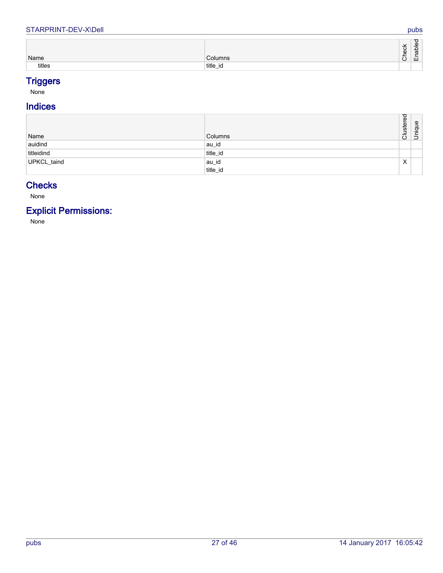#### STARPRINT-DEV-X\Dell pubs

| Name   | Columns                           | Φ | ∼<br>ധ<br>$\omega$<br>щ |
|--------|-----------------------------------|---|-------------------------|
| titles | title<br>$\sim$<br>- IU<br>.<br>. |   |                         |

# <span id="page-26-2"></span>**Triggers**

None

# **Indices**

<span id="page-26-0"></span>

| Name        | <b>Columns</b> | ustered<br>⊃<br>$\overline{\circ}$ | ique<br>$\overline{5}$ |
|-------------|----------------|------------------------------------|------------------------|
| auidind     | au_id          |                                    |                        |
| titleidind  | title_id       |                                    |                        |
| UPKCL_taind | au_id          | X                                  |                        |
|             | title_id       |                                    |                        |

# <span id="page-26-3"></span><span id="page-26-1"></span>**Checks**

None

# **Explicit Permissions:**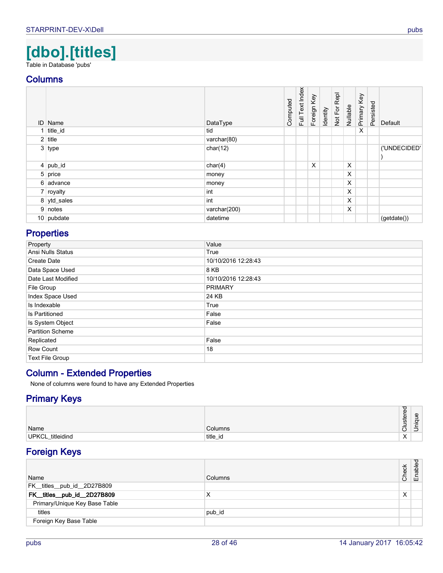# **[dbo].[titles]**

<span id="page-27-0"></span>Table in Database 'pubs'

## **Columns**

<span id="page-27-10"></span><span id="page-27-9"></span><span id="page-27-8"></span>

| ID Name      | DataType     | Computed | Full Text Index | Foreign Key | Identity | Not For Repl | Nullable | Primary Key | Persisted | Default      |
|--------------|--------------|----------|-----------------|-------------|----------|--------------|----------|-------------|-----------|--------------|
| $1$ title_id | tid          |          |                 |             |          |              |          | X           |           |              |
| $2$ title    | varchar(80)  |          |                 |             |          |              |          |             |           |              |
| 3 type       | char(12)     |          |                 |             |          |              |          |             |           | ('UNDECIDED' |
| $4$ pub_id   | char(4)      |          |                 | X           |          |              | X        |             |           |              |
| 5 price      | money        |          |                 |             |          |              | X        |             |           |              |
| 6 advance    | money        |          |                 |             |          |              | X        |             |           |              |
| 7 royalty    | int          |          |                 |             |          |              | X        |             |           |              |
| 8 ytd_sales  | int          |          |                 |             |          |              | X        |             |           |              |
| 9 notes      | varchar(200) |          |                 |             |          |              | X        |             |           |              |
| $10$ pubdate | datetime     |          |                 |             |          |              |          |             |           | (getdate())  |

# <span id="page-27-12"></span><span id="page-27-7"></span><span id="page-27-6"></span><span id="page-27-5"></span><span id="page-27-4"></span><span id="page-27-3"></span><span id="page-27-1"></span>**Properties**

| Property                | Value               |
|-------------------------|---------------------|
| Ansi Nulls Status       | True                |
| Create Date             | 10/10/2016 12:28:43 |
| Data Space Used         | 8 KB                |
| Date Last Modified      | 10/10/2016 12:28:43 |
| File Group              | <b>PRIMARY</b>      |
| Index Space Used        | 24 KB               |
| Is Indexable            | True                |
| Is Partitioned          | False               |
| Is System Object        | False               |
| <b>Partition Scheme</b> |                     |
| Replicated              | False               |
| Row Count               | 18                  |
| Text File Group         |                     |

# **Column - Extended Properties**

None of columns were found to have any Extended Properties

# **Primary Keys**

| Name             | <b>Columns</b> | ັ<br>Φ<br>្ទ្រ<br><b>i</b><br>-<br>-<br>$\check{ }$ | യ<br>ਰ<br>∣ ⊃ |
|------------------|----------------|-----------------------------------------------------|---------------|
| UPKCL_titleidind | title_id       | $\lambda$<br>$\lambda$                              |               |

# <span id="page-27-11"></span>**Foreign Keys**

<span id="page-27-2"></span>

| Name                          | Columns | Check | Enabled |
|-------------------------------|---------|-------|---------|
| FK_titles_pub_id_2D27B809     |         |       |         |
| FK_titles_pub_id_2D27B809     | х       | X     |         |
| Primary/Unique Key Base Table |         |       |         |
| titles                        | pub_id  |       |         |
| Foreign Key Base Table        |         |       |         |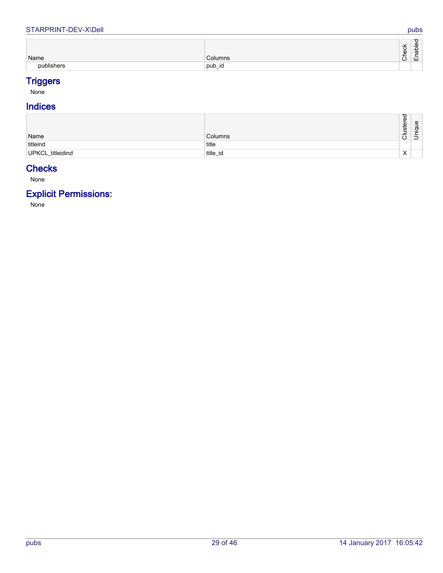#### STARPRINT-DEV-X\Dell pubs

| Name       | Columns       | $\overline{ }$<br>ີ<br>Φ<br>$\check{ }$ | ರ<br>$\omega$<br>-<br>$\mathbf{\Omega}$<br>᠊ᢐ<br>ய |
|------------|---------------|-----------------------------------------|----------------------------------------------------|
| publishers | . .<br>pub_id |                                         |                                                    |

# <span id="page-28-0"></span>**Triggers**

None

# **Indices**

| Name             | Columns  | ヮ<br>Φ<br>ster<br>-<br>-<br>ပ | Φ<br>ಕ<br>≔<br>∣⊃ |
|------------------|----------|-------------------------------|-------------------|
| titleind         | title    |                               |                   |
| UPKCL_titleidind | title_id | $\check{ }$<br>⌒              |                   |

# <span id="page-28-2"></span><span id="page-28-1"></span>**Checks**

None

# **Explicit Permissions:**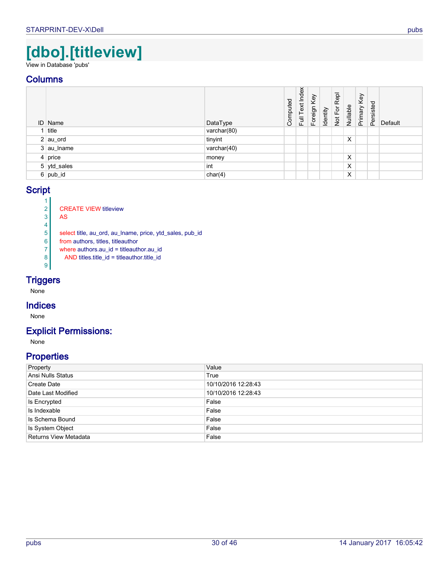# **[dbo].[titleview]**

<span id="page-29-0"></span>View in Database 'pubs'

# **Columns**

<span id="page-29-5"></span><span id="page-29-2"></span>

| <b>ID</b> Name | DataType    | Computed | Index<br>Full Text | Foreign Key | Identity | Repl<br>Not For | Nullable | Primary Key | Persisted | Default |
|----------------|-------------|----------|--------------------|-------------|----------|-----------------|----------|-------------|-----------|---------|
| title          | varchar(80) |          |                    |             |          |                 |          |             |           |         |
| $2  au$ ord    | tinyint     |          |                    |             |          |                 | X        |             |           |         |
| 3 au_lname     | varchar(40) |          |                    |             |          |                 |          |             |           |         |
| $4$ price      | money       |          |                    |             |          |                 | X        |             |           |         |
| 5 ytd_sales    | int         |          |                    |             |          |                 | X        |             |           |         |
| $6$ pub_id     | char(4)     |          |                    |             |          |                 | Х        |             |           |         |

## <span id="page-29-6"></span><span id="page-29-4"></span><span id="page-29-3"></span><span id="page-29-1"></span>**Script**

 $\frac{1}{2}$ 2 CREATE VIEW titleview<br>3 AS AS 4 5 select title, au\_ord, au\_lname, price, ytd\_sales, pub\_id 6 from authors, titles, titleauthor  $7$  where authors.au\_id = titleauthor.au\_id <br>8 AND titles.title\_id = titleauthor.title\_id 8 AND titles.title\_id = titleauthor.title\_id <sup>9</sup>

# **Triggers**

None

### **Indices**

None

### **Explicit Permissions:**

None

| Property              | Value               |
|-----------------------|---------------------|
| Ansi Nulls Status     | True                |
| Create Date           | 10/10/2016 12:28:43 |
| Date Last Modified    | 10/10/2016 12:28:43 |
| Is Encrypted          | False               |
| Is Indexable          | False               |
| Is Schema Bound       | False               |
| Is System Object      | False               |
| Returns View Metadata | False               |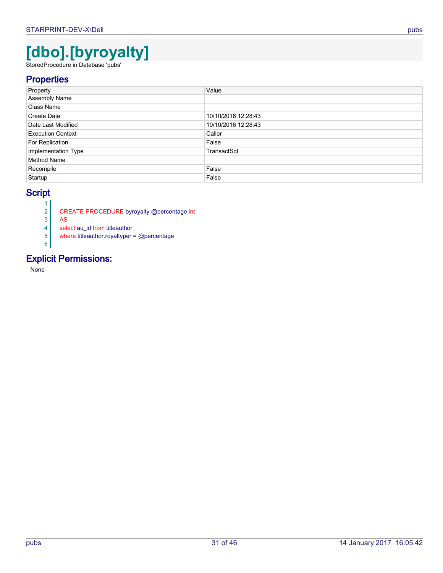# **[dbo].[byroyalty]**

<span id="page-30-0"></span>StoredProcedure in Database 'pubs'

# **Properties**

| Property                 | Value               |
|--------------------------|---------------------|
| <b>Assembly Name</b>     |                     |
| Class Name               |                     |
| Create Date              | 10/10/2016 12:28:43 |
| Date Last Modified       | 10/10/2016 12:28:43 |
| <b>Execution Context</b> | Caller              |
| For Replication          | False               |
| Implementation Type      | TransactSql         |
| Method Name              |                     |
| Recompile                | False               |
| Startup                  | False               |

# **Script**

 $\frac{1}{2}$ 

- 2 CREATE PROCEDURE byroyalty @percentage int
- $\begin{array}{c|c}\n 3 & \text{AS} \\
 4 & \text{sele}\n \end{array}$

select au\_id from titleauthor

where titleauthor.royaltyper = @percentage 6

# **Explicit Permissions:**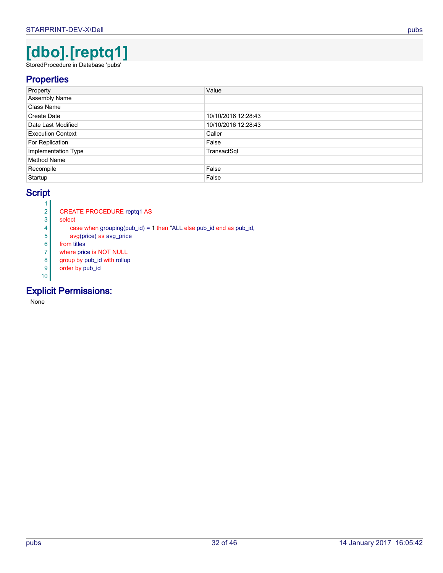# **[dbo].[reptq1]**

<span id="page-31-0"></span>StoredProcedure in Database 'pubs'

# **Properties**

| Property                 | Value               |
|--------------------------|---------------------|
| <b>Assembly Name</b>     |                     |
| <b>Class Name</b>        |                     |
| Create Date              | 10/10/2016 12:28:43 |
| Date Last Modified       | 10/10/2016 12:28:43 |
| <b>Execution Context</b> | Caller              |
| For Replication          | False               |
| Implementation Type      | TransactSql         |
| <b>Method Name</b>       |                     |
| Recompile                | False               |
| Startup                  | False               |

# **Script**

- $\frac{1}{2}$ 2 CREATE PROCEDURE reptq1 AS<br>3 select
- select
- 4 case when grouping(pub\_id) = 1 then "ALL else pub\_id end as pub\_id,<br>  $\frac{1}{5}$  avg(price) as avg\_price
- avg(price) as avg\_price
- 6 from titles
- where price is NOT NULL
- 8 group by pub\_id with rollup
- 9 order by pub\_id 10

# **Explicit Permissions:**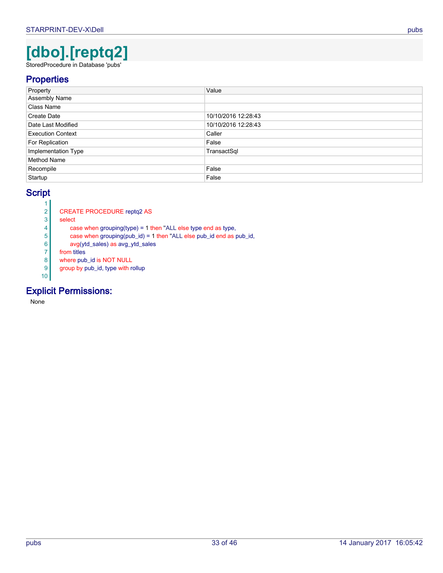# **[dbo].[reptq2]**

<span id="page-32-0"></span>StoredProcedure in Database 'pubs'

# **Properties**

| Property                 | Value               |
|--------------------------|---------------------|
| <b>Assembly Name</b>     |                     |
| Class Name               |                     |
| Create Date              | 10/10/2016 12:28:43 |
| Date Last Modified       | 10/10/2016 12:28:43 |
| <b>Execution Context</b> | Caller              |
| For Replication          | False               |
| Implementation Type      | TransactSql         |
| Method Name              |                     |
| Recompile                | False               |
| Startup                  | False               |

# **Script**

- $\frac{1}{2}$ 2 CREATE PROCEDURE reptq2 AS<br>3 select
- select
	-
- 4 case when grouping(type) = 1 then "ALL else type end as type,<br>case when grouping(pub\_id) = 1 then "ALL else pub\_id end as posterior case when grouping(pub\_id) = 1 then "ALL else pub\_id end as pub\_id,
- $\begin{array}{c|c}\n6 & \text{avg(ytd\_sales)} \text{ as avg\_ytd\_sales} \\
7 & \text{from titles}\n\end{array}$
- from titles
- 8 where pub id is NOT NULL
- 9 group by pub\_id, type with rollup

# 10

# **Explicit Permissions:**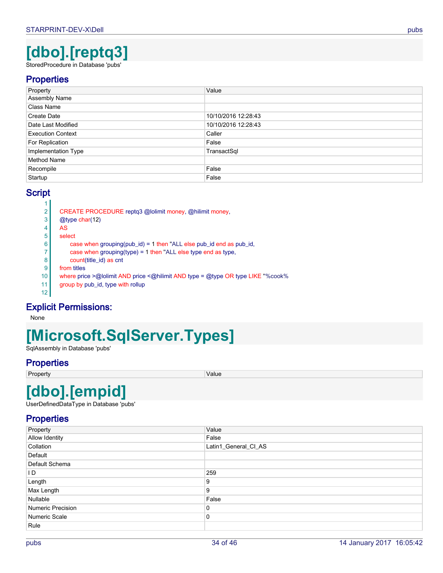# **[dbo].[reptq3]**

<span id="page-33-0"></span>StoredProcedure in Database 'pubs'

# **Properties**

| Property                 | Value               |
|--------------------------|---------------------|
| Assembly Name            |                     |
| Class Name               |                     |
| Create Date              | 10/10/2016 12:28:43 |
| Date Last Modified       | 10/10/2016 12:28:43 |
| <b>Execution Context</b> | Caller              |
| For Replication          | False               |
| Implementation Type      | TransactSql         |
| <b>Method Name</b>       |                     |
| Recompile                | False               |
| Startup                  | False               |

# **Script**

| 2               | CREATE PROCEDURE reptq3 @lolimit money, @hilimit money,                         |
|-----------------|---------------------------------------------------------------------------------|
| 3               | $@$ type char $(12)$                                                            |
| 4               | AS                                                                              |
| 5               | select                                                                          |
| 6               | case when grouping(pub_id) = 1 then "ALL else pub_id end as pub_id,             |
|                 | case when grouping(type) = 1 then "ALL else type end as type,                   |
| 8               | count(title_id) as cnt                                                          |
| 9               | from titles                                                                     |
| 10 <sup>°</sup> | where price >@lolimit AND price <@hilimit AND type = @type OR type LIKE "%cook% |
| 11              | group by pub_id, type with rollup                                               |
| 12              |                                                                                 |
|                 |                                                                                 |

# **Explicit Permissions:**

None

# **[Microsoft.SqlServer.Types]**

<span id="page-33-1"></span>SqlAssembly in Database 'pubs'

# **Properties**

Property **Value** 

# **[dbo].[empid]**

<span id="page-33-2"></span>UserDefinedDataType in Database 'pubs'

| Property          | Value                |
|-------------------|----------------------|
| Allow Identity    | False                |
| Collation         | Latin1_General_CI_AS |
| Default           |                      |
| Default Schema    |                      |
| ID.               | 259                  |
| Length            | 9                    |
| Max Length        | 9                    |
| Nullable          | False                |
| Numeric Precision | 0                    |
| Numeric Scale     | 0                    |
| Rule              |                      |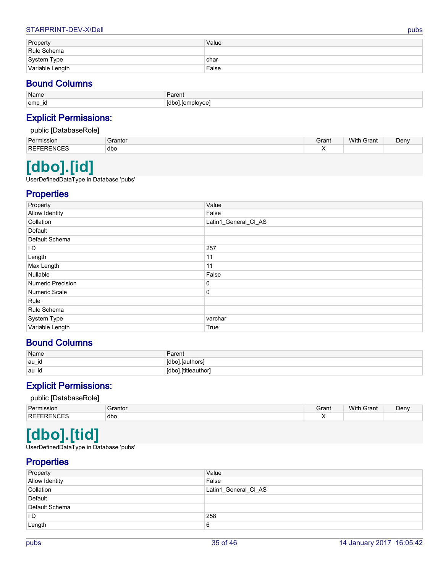#### STARPRINT-DEV-X\Dell pubs

| Property        | Value |
|-----------------|-------|
| Rule Schema     |       |
| System Type     | char  |
| Variable Length | False |

# **Bound Columns**

| Name               | $\overline{\phantom{a}}$<br>$\underline{\phantom{a}}$<br>dielil |
|--------------------|-----------------------------------------------------------------|
| emp<br><u>т — </u> | Idr<br>ا مم روز ان<br>∴∟ດຕະ                                     |

# **Explicit Permissions:**

| าbaseRole1<br>public |             |       |                   |      |  |  |  |
|----------------------|-------------|-------|-------------------|------|--|--|--|
| Permission           | Grantor     | Grant | <b>With Grant</b> | Denv |  |  |  |
| <b>REFERENCES</b>    | dbo<br>$ -$ |       |                   |      |  |  |  |

# **[dbo].[id]**

<span id="page-34-0"></span>UserDefinedDataType in Database 'pubs'

# **Properties**

| Property              | Value                |
|-----------------------|----------------------|
| <b>Allow Identity</b> | False                |
| Collation             | Latin1_General_CI_AS |
| Default               |                      |
| Default Schema        |                      |
| I D                   | 257                  |
| Length                | 11                   |
| Max Length            | 11                   |
| Nullable              | False                |
| Numeric Precision     | 0                    |
| Numeric Scale         | 0                    |
| Rule                  |                      |
| Rule Schema           |                      |
| System Type           | varchar              |
| Variable Length       | True                 |

# **Bound Columns**

| Name   | Parent                       |
|--------|------------------------------|
| $\sim$ | 14h                          |
| ∥au_id | ∵lauthors                    |
| .      | I. [titleauthor <sup>1</sup> |
| ∣au_id | $1$ dho <sup>1</sup>         |

# **Explicit Permissions:**

#### public [DatabaseRole]

| Dor             | iranto | Grant | With<br>$\overline{\phantom{a}}$<br>-rant | Den۱ |
|-----------------|--------|-------|-------------------------------------------|------|
| <b>REI</b><br>m | dbo    |       |                                           |      |

# **[dbo].[tid]**

<span id="page-34-1"></span>UserDefinedDataType in Database 'pubs'

| Property       | Value                |
|----------------|----------------------|
| Allow Identity | False                |
| Collation      | Latin1_General_CI_AS |
| Default        |                      |
| Default Schema |                      |
| I D            | 258                  |
| Length         | 6                    |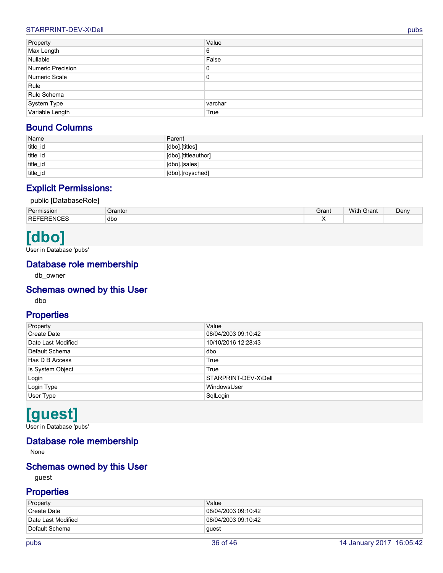#### STARPRINT-DEV-X\Dell pubs and the control of the control of the control of the control of the control of the control of the control of the control of the control of the control of the control of the control of the control

| Property                       | Value   |
|--------------------------------|---------|
| Max Length                     | 6       |
| Nullable                       | False   |
| Numeric Precision              | 0       |
| Numeric Scale                  | 0       |
| Rule                           |         |
| Rule Schema                    |         |
| System Type<br>Variable Length | varchar |
|                                | True    |

# **Bound Columns**

| Name     | Parent              |
|----------|---------------------|
| title_id | [dbo].[titles]      |
| title_id | [dbo].[titleauthor] |
| title_id | [dbo] [sales]       |
| title_id | [dbo].[roysched]    |

# **Explicit Permissions:**

#### public [DatabaseRole]

| dbo<br><b>REF</b><br>-RFNI<br>◡∟◡<br>. . | Permission | irantor | Grant | With<br>Grant | Denv |
|------------------------------------------|------------|---------|-------|---------------|------|
|                                          |            |         |       |               |      |

# **[dbo]**

<span id="page-35-0"></span>User in Database 'pubs'

# **Database role membership**

<span id="page-35-2"></span>db\_owner

### **Schemas owned by this User**

dbo

# **Properties**

| Property           | Value                |
|--------------------|----------------------|
| Create Date        | 08/04/2003 09:10:42  |
| Date Last Modified | 10/10/2016 12:28:43  |
| Default Schema     | dbo                  |
| Has D B Access     | True                 |
| Is System Object   | True                 |
| Login              | STARPRINT-DEV-X\Dell |
| Login Type         | WindowsUser          |
| User Type          | SqlLogin             |
|                    |                      |

# **[guest]**

<span id="page-35-1"></span>User in Database 'pubs'

# **Database role membership**

None

# **Schemas owned by this User**

guest

| Property                        | Value               |
|---------------------------------|---------------------|
| <sup>'</sup> Create Date        | 08/04/2003 09:10:42 |
| <sup>∣</sup> Date Last Modified | 08/04/2003 09:10:42 |
| Default Schema                  | guest               |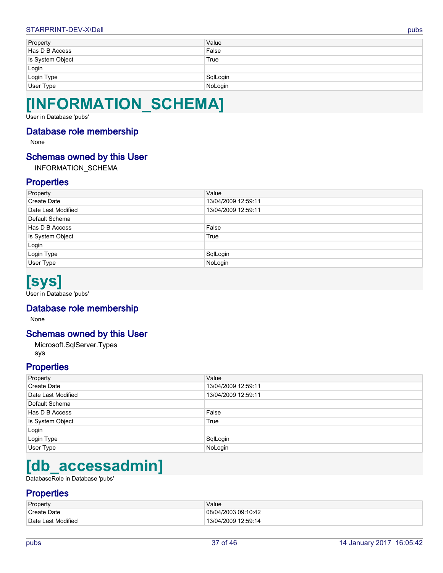#### STARPRINT-DEV-X\Dell pubs and the control of the control pubs of the control of the control of the control of the control of the control of the control of the control of the control of the control of the control of the con

| Property         | Value    |
|------------------|----------|
| Has D B Access   | False    |
| Is System Object | True     |
| Login            |          |
|                  |          |
| Login Type       | SqlLogin |
| User Type        | NoLogin  |

# **[INFORMATION\_SCHEMA]**

<span id="page-36-0"></span>User in Database 'pubs'

### **Database role membership**

None

## **Schemas owned by this User**

INFORMATION\_SCHEMA

# **Properties**

| Property           | Value               |
|--------------------|---------------------|
| Create Date        | 13/04/2009 12:59:11 |
| Date Last Modified | 13/04/2009 12:59:11 |
| Default Schema     |                     |
| Has D B Access     | False               |
| Is System Object   | True                |
| Login              |                     |
| Login Type         | SqlLogin            |
| User Type          | NoLogin             |
|                    |                     |

# **[sys]**

<span id="page-36-1"></span>User in Database 'pubs'

## **Database role membership**

None

## **Schemas owned by this User**

<span id="page-36-3"></span>Microsoft.SqlServer.Types sys

## **Properties**

| Property           | Value               |
|--------------------|---------------------|
| <b>Create Date</b> | 13/04/2009 12:59:11 |
| Date Last Modified | 13/04/2009 12:59:11 |
| Default Schema     |                     |
| Has D B Access     | False               |
| Is System Object   | True                |
| Login              |                     |
| Login Type         | SqlLogin            |
| User Type          | NoLogin             |

# **[db\_accessadmin]**

<span id="page-36-2"></span>DatabaseRole in Database 'pubs'

| Property                        | Value               |
|---------------------------------|---------------------|
| <sup>'</sup> Create Date        | 08/04/2003 09:10:42 |
| <sup>1</sup> Date Last Modified | 13/04/2009 12:59:14 |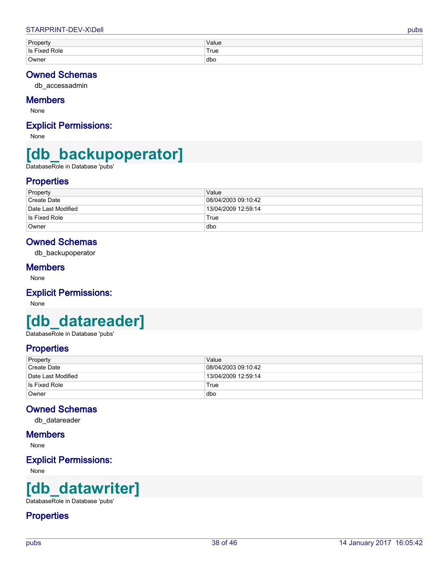| Property                      | Value |
|-------------------------------|-------|
| Is Fixed<br><sup>'</sup> Role | `True |
| Owner                         | dbo   |

# **Owned Schemas**

<span id="page-37-3"></span>db\_accessadmin

### **Members**

None

# **Explicit Permissions:**

None

# **[db\_backupoperator]**

<span id="page-37-0"></span>DatabaseRole in Database 'pubs'

# **Properties**

| Property                  | Value               |
|---------------------------|---------------------|
| <sup>'</sup> Create Date  | 08/04/2003 09:10:42 |
| <b>Date Last Modified</b> | 13/04/2009 12:59:14 |
| Is Fixed Role             | True                |
| Owner                     | dbo                 |

# **Owned Schemas**

db\_backupoperator

### **Members**

None

# **Explicit Permissions:**

None

# **[db\_datareader]**

<span id="page-37-1"></span>DatabaseRole in Database 'pubs'

# **Properties**

| Property           | Value               |
|--------------------|---------------------|
| Create Date        | 08/04/2003 09:10:42 |
| Date Last Modified | 13/04/2009 12:59:14 |
| Is Fixed Role      | True                |
| Owner              | dbo                 |

# **Owned Schemas**

db\_datareader

### **Members**

None

# **Explicit Permissions:**

None

# **[db\_datawriter]**

<span id="page-37-2"></span>DatabaseRole in Database 'pubs'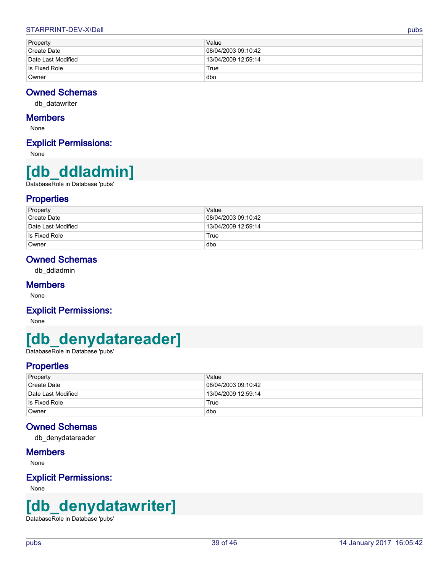#### STARPRINT-DEV-X\Dell pubs and the control of the control of the control of the control of the control of the control of the control of the control of the control of the control of the control of the control of the control

| Property           | Value               |
|--------------------|---------------------|
| Create Date        | 08/04/2003 09:10:42 |
| Date Last Modified | 13/04/2009 12:59:14 |
| Is Fixed Role      | True                |
| Owner              | dbo                 |

## **Owned Schemas**

<span id="page-38-3"></span>db\_datawriter

#### **Members**

None

## **Explicit Permissions:**

None

# **[db\_ddladmin]**

<span id="page-38-0"></span>DatabaseRole in Database 'pubs'

### **Properties**

| Property                        | Value               |
|---------------------------------|---------------------|
| Create Date                     | 08/04/2003 09:10:42 |
| <sup>∣</sup> Date Last Modified | 13/04/2009 12:59:14 |
| Is Fixed Role                   | True                |
| Owner                           | dbo                 |

# **Owned Schemas**

db\_ddladmin

#### **Members**

None

### **Explicit Permissions:**

None

# **[db\_denydatareader]**

<span id="page-38-1"></span>DatabaseRole in Database 'pubs'

# **Properties**

| Property           | Value               |
|--------------------|---------------------|
| Create Date        | 08/04/2003 09:10:42 |
| Date Last Modified | 13/04/2009 12:59:14 |
| Is Fixed Role      | True                |
| Owner              | dbo                 |

# **Owned Schemas**

db\_denydatareader

### **Members**

None

### **Explicit Permissions:**

None

# **[db\_denydatawriter]**

<span id="page-38-2"></span>DatabaseRole in Database 'pubs'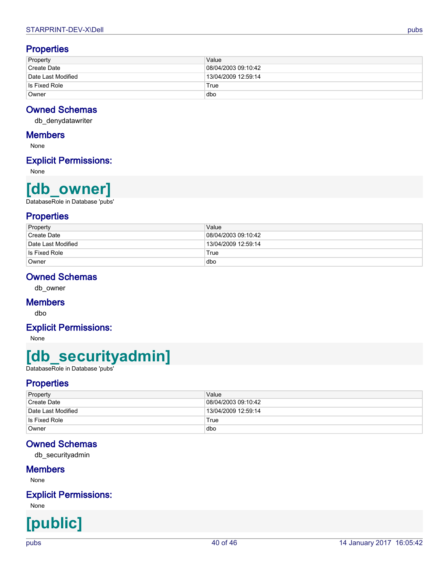## **Properties**

| Property                 | Value               |
|--------------------------|---------------------|
| <sup>∣</sup> Create Date | 08/04/2003 09:10:42 |
| Date Last Modified       | 13/04/2009 12:59:14 |
| Is Fixed Role            | True                |
| Owner                    | dbo                 |

# **Owned Schemas**

<span id="page-39-2"></span>db\_denydatawriter

## **Members**

None

# **Explicit Permissions:**

None

# **[db\_owner]**

<span id="page-39-0"></span>DatabaseRole in Database 'pubs'

## **Properties**

| Property           | Value               |
|--------------------|---------------------|
| Create Date        | 08/04/2003 09:10:42 |
| Date Last Modified | 13/04/2009 12:59:14 |
| Is Fixed Role      | True                |
| Owner              | dbo                 |

# **Owned Schemas**

db\_owner

### **Members**

<span id="page-39-3"></span>dbo

# **Explicit Permissions:**

None

# **[db\_securityadmin]**

<span id="page-39-1"></span>DatabaseRole in Database 'pubs'

## **Properties**

| Property           | Value               |
|--------------------|---------------------|
| Create Date        | 08/04/2003 09:10:42 |
| Date Last Modified | 13/04/2009 12:59:14 |
| Is Fixed Role      | True                |
| Owner              | dbo                 |

## **Owned Schemas**

db\_securityadmin

### **Members**

None

# **Explicit Permissions:**

**[public]**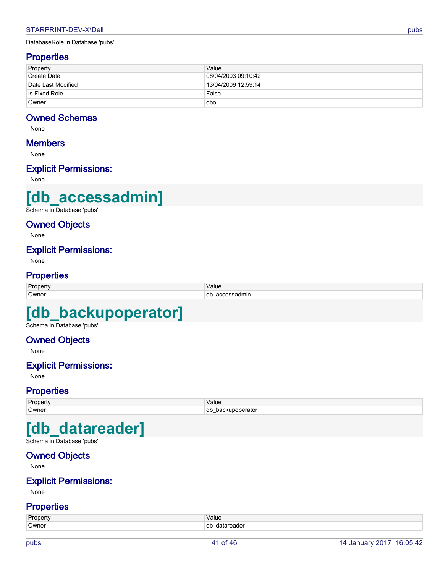# <span id="page-40-0"></span>**Properties**

| Property                        | Value               |
|---------------------------------|---------------------|
| Create Date                     | 08/04/2003 09:10:42 |
| <sup>∣</sup> Date Last Modified | 13/04/2009 12:59:14 |
| Is Fixed Role                   | False               |
| Owner                           | dbo                 |

### **Owned Schemas**

None

### **Members**

None

## **Explicit Permissions:**

None

# **[db\_accessadmin]**

<span id="page-40-1"></span>Schema in Database 'pubs'

### **Owned Objects**

None

### **Explicit Permissions:**

None

### **Properties**

| Property | Value     |
|----------|-----------|
| Owner    | dr<br>mır |

# **[db\_backupoperator]**

<span id="page-40-2"></span>Schema in Database 'pubs'

# **Owned Objects**

None

# **Explicit Permissions:**

None

### **Properties**

| Property    | Value<br>$   -$ |
|-------------|-----------------|
| Owner<br>db | nar<br>.        |

# **[db\_datareader]**

<span id="page-40-3"></span>Schema in Database 'pubs'

# **Owned Objects**

None

### **Explicit Permissions:**

None

| Propert | Value                                      |
|---------|--------------------------------------------|
| Owner   | db<br>aue<br>$\overline{\phantom{a}}$<br>. |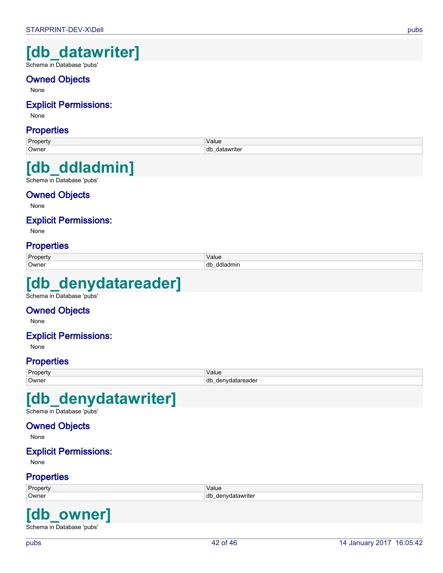# **[db\_datawriter]**

<span id="page-41-0"></span>Schema in Database 'pubs'

# **Owned Objects**

None

## **Explicit Permissions:**

None

### **Properties**

| Property | Value             |
|----------|-------------------|
| 'Owner   | dt<br>rite<br>$-$ |
|          |                   |

# **[db\_ddladmin]**

<span id="page-41-1"></span>Schema in Database 'pubs'

# **Owned Objects**

None

# **Explicit Permissions:**

None

# **Properties**

| -     | 1/nL<br>valut<br>$   -$ |
|-------|-------------------------|
| ຳwner | db<br>.                 |

# **[db\_denydatareader]**

<span id="page-41-2"></span>Schema in Database 'pubs'

### **Owned Objects**

None

### **Explicit Permissions:**

None

# **Properties**

| Propert | Value              |
|---------|--------------------|
| Owner   | db<br>uvdatareader |

# **[db\_denydatawriter]**

<span id="page-41-3"></span>Schema in Database 'pubs'

# **Owned Objects**

None

### **Explicit Permissions:**

None

### **Properties**

| Property | 10.111<br>value      |
|----------|----------------------|
| Owner    | dt<br>denvdatawriter |

# **[db\_owner]**

<span id="page-41-4"></span>Schema in Database 'pubs'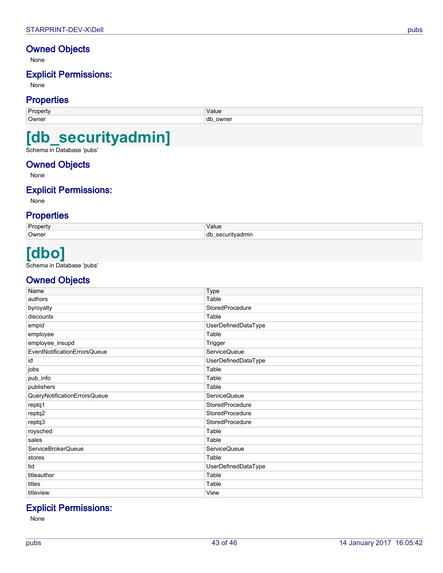# **Owned Objects**

None

# **Explicit Permissions:**

None

## **Properties**

| <b>Property</b> | Value                    |
|-----------------|--------------------------|
| Owner           | .dk<br>owner<br>u⊾<br>-- |
|                 |                          |

# **[db\_securityadmin]**

<span id="page-42-0"></span>Schema in Database 'pubs'

### **Owned Objects**

None

## **Explicit Permissions:**

None

## **Properties**

| Property | Value                            |
|----------|----------------------------------|
| Owner    | dt<br>securityadmin<br><u>. </u> |

# **[dbo]**

<span id="page-42-1"></span>Schema in Database 'pubs'

# **Owned Objects**

<span id="page-42-13"></span><span id="page-42-12"></span><span id="page-42-11"></span><span id="page-42-10"></span><span id="page-42-9"></span><span id="page-42-8"></span><span id="page-42-7"></span><span id="page-42-6"></span><span id="page-42-5"></span><span id="page-42-4"></span><span id="page-42-3"></span><span id="page-42-2"></span>

| Name                         | Type                |
|------------------------------|---------------------|
| authors                      | Table               |
| byroyalty                    | StoredProcedure     |
| discounts                    | Table               |
| empid                        | UserDefinedDataType |
| employee                     | Table               |
| employee_insupd              | Trigger             |
| EventNotificationErrorsQueue | <b>ServiceQueue</b> |
| id                           | UserDefinedDataType |
| jobs                         | Table               |
| pub_info                     | Table               |
| publishers                   | Table               |
| QueryNotificationErrorsQueue | <b>ServiceQueue</b> |
| reptq1                       | StoredProcedure     |
| reptq2                       | StoredProcedure     |
| reptq3                       | StoredProcedure     |
| roysched                     | Table               |
| sales                        | Table               |
| ServiceBrokerQueue           | <b>ServiceQueue</b> |
| stores                       | Table               |
| tid                          | UserDefinedDataType |
| titleauthor                  | Table               |
| titles                       | Table               |
| titleview                    | View                |

# <span id="page-42-24"></span><span id="page-42-23"></span><span id="page-42-22"></span><span id="page-42-21"></span><span id="page-42-20"></span><span id="page-42-19"></span><span id="page-42-18"></span><span id="page-42-17"></span><span id="page-42-16"></span><span id="page-42-15"></span><span id="page-42-14"></span>**Explicit Permissions:**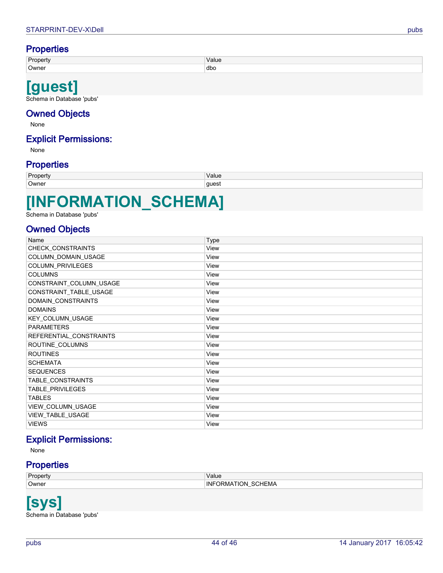# **Properties**

| Dronerty | Value |
|----------|-------|
| Owner    | dbo   |
|          |       |

# **[guest]**

<span id="page-43-0"></span>Schema in Database 'pubs'

# **Owned Objects**

None

# **Explicit Permissions:**

None

# **Properties**

| Owner<br>ques<br>ັ | Property | Value |
|--------------------|----------|-------|
|                    |          |       |

# **[INFORMATION\_SCHEMA]**

<span id="page-43-1"></span>Schema in Database 'pubs'

## **Owned Objects**

<span id="page-43-13"></span><span id="page-43-12"></span><span id="page-43-11"></span><span id="page-43-10"></span><span id="page-43-9"></span><span id="page-43-8"></span><span id="page-43-7"></span><span id="page-43-6"></span><span id="page-43-5"></span><span id="page-43-4"></span><span id="page-43-3"></span>

| Name                    | <b>Type</b> |
|-------------------------|-------------|
| CHECK_CONSTRAINTS       | View        |
| COLUMN_DOMAIN_USAGE     | View        |
| COLUMN_PRIVILEGES       | View        |
| <b>COLUMNS</b>          | View        |
| CONSTRAINT_COLUMN_USAGE | View        |
| CONSTRAINT_TABLE_USAGE  | View        |
| DOMAIN_CONSTRAINTS      | View        |
| <b>DOMAINS</b>          | View        |
| KEY_COLUMN_USAGE        | View        |
| <b>PARAMETERS</b>       | View        |
| REFERENTIAL_CONSTRAINTS | View        |
| ROUTINE_COLUMNS         | View        |
| <b>ROUTINES</b>         | View        |
| <b>SCHEMATA</b>         | View        |
| <b>SEQUENCES</b>        | View        |
| TABLE_CONSTRAINTS       | View        |
| TABLE_PRIVILEGES        | View        |
| <b>TABLES</b>           | View        |
| VIEW_COLUMN_USAGE       | View        |
| VIEW_TABLE_USAGE        | View        |
| <b>VIEWS</b>            | View        |

# <span id="page-43-18"></span><span id="page-43-17"></span><span id="page-43-16"></span><span id="page-43-15"></span><span id="page-43-14"></span>**Explicit Permissions:**

<span id="page-43-23"></span><span id="page-43-22"></span><span id="page-43-21"></span><span id="page-43-20"></span><span id="page-43-19"></span>None

## **Properties**

| Property | Value                                 |
|----------|---------------------------------------|
| Owner    | SCHEMA<br>INF<br><b>TION</b><br>JRMA. |
|          |                                       |

<span id="page-43-2"></span>**[sys]** Schema in Database 'pubs'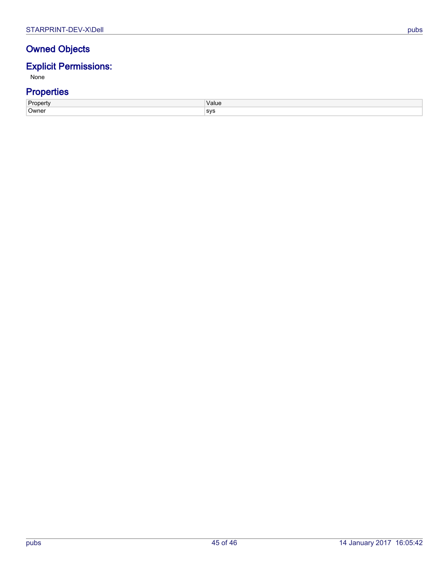# **Owned Objects**

# **Explicit Permissions:**

None

| <b>Dronart</b> | Value      |
|----------------|------------|
| onerrv         | $   -$     |
| Owner          | <b>SVS</b> |